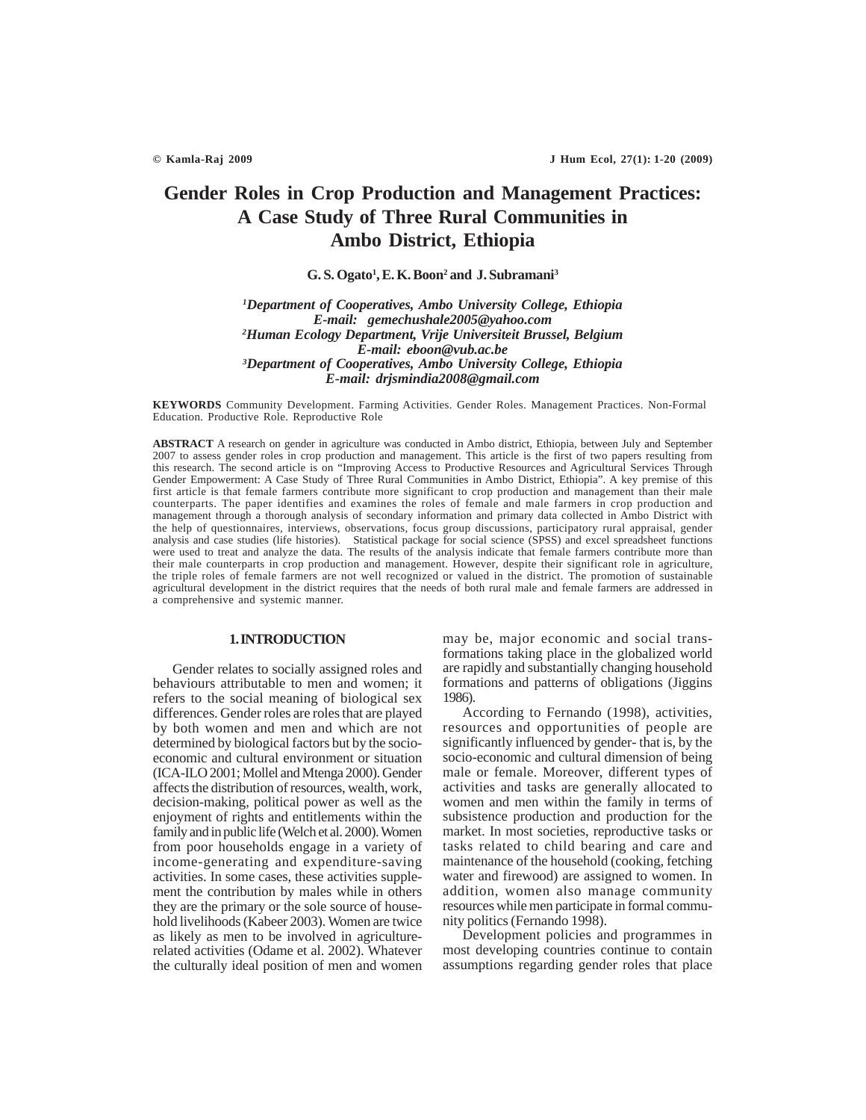# **Gender Roles in Crop Production and Management Practices: A Case Study of Three Rural Communities in Ambo District, Ethiopia**

## **G. S. Ogato1 , E. K. Boon2 and J. Subramani3**

*1 Department of Cooperatives, Ambo University College, Ethiopia E-mail: gemechushale2005@yahoo.com 2 Human Ecology Department, Vrije Universiteit Brussel, Belgium E-mail: eboon@vub.ac.be 3 Department of Cooperatives, Ambo University College, Ethiopia E-mail: drjsmindia2008@gmail.com*

**KEYWORDS** Community Development. Farming Activities. Gender Roles. Management Practices. Non-Formal Education. Productive Role. Reproductive Role

**ABSTRACT** A research on gender in agriculture was conducted in Ambo district, Ethiopia, between July and September 2007 to assess gender roles in crop production and management. This article is the first of two papers resulting from this research. The second article is on "Improving Access to Productive Resources and Agricultural Services Through Gender Empowerment: A Case Study of Three Rural Communities in Ambo District, Ethiopia". A key premise of this first article is that female farmers contribute more significant to crop production and management than their male counterparts. The paper identifies and examines the roles of female and male farmers in crop production and management through a thorough analysis of secondary information and primary data collected in Ambo District with the help of questionnaires, interviews, observations, focus group discussions, participatory rural appraisal, gender analysis and case studies (life histories). Statistical package for social science (SPSS) and excel spreadsheet functions were used to treat and analyze the data. The results of the analysis indicate that female farmers contribute more than their male counterparts in crop production and management. However, despite their significant role in agriculture, the triple roles of female farmers are not well recognized or valued in the district. The promotion of sustainable agricultural development in the district requires that the needs of both rural male and female farmers are addressed in a comprehensive and systemic manner.

#### **1. INTRODUCTION**

Gender relates to socially assigned roles and behaviours attributable to men and women; it refers to the social meaning of biological sex differences. Gender roles are roles that are played by both women and men and which are not determined by biological factors but by the socioeconomic and cultural environment or situation (ICA-ILO 2001; Mollel and Mtenga 2000). Gender affects the distribution of resources, wealth, work, decision-making, political power as well as the enjoyment of rights and entitlements within the family and in public life (Welch et al. 2000). Women from poor households engage in a variety of income-generating and expenditure-saving activities. In some cases, these activities supplement the contribution by males while in others they are the primary or the sole source of household livelihoods (Kabeer 2003). Women are twice as likely as men to be involved in agriculturerelated activities (Odame et al. 2002). Whatever the culturally ideal position of men and women may be, major economic and social transformations taking place in the globalized world are rapidly and substantially changing household formations and patterns of obligations (Jiggins 1986).

According to Fernando (1998), activities, resources and opportunities of people are significantly influenced by gender- that is, by the socio-economic and cultural dimension of being male or female. Moreover, different types of activities and tasks are generally allocated to women and men within the family in terms of subsistence production and production for the market. In most societies, reproductive tasks or tasks related to child bearing and care and maintenance of the household (cooking, fetching water and firewood) are assigned to women. In addition, women also manage community resources while men participate in formal community politics (Fernando 1998).

Development policies and programmes in most developing countries continue to contain assumptions regarding gender roles that place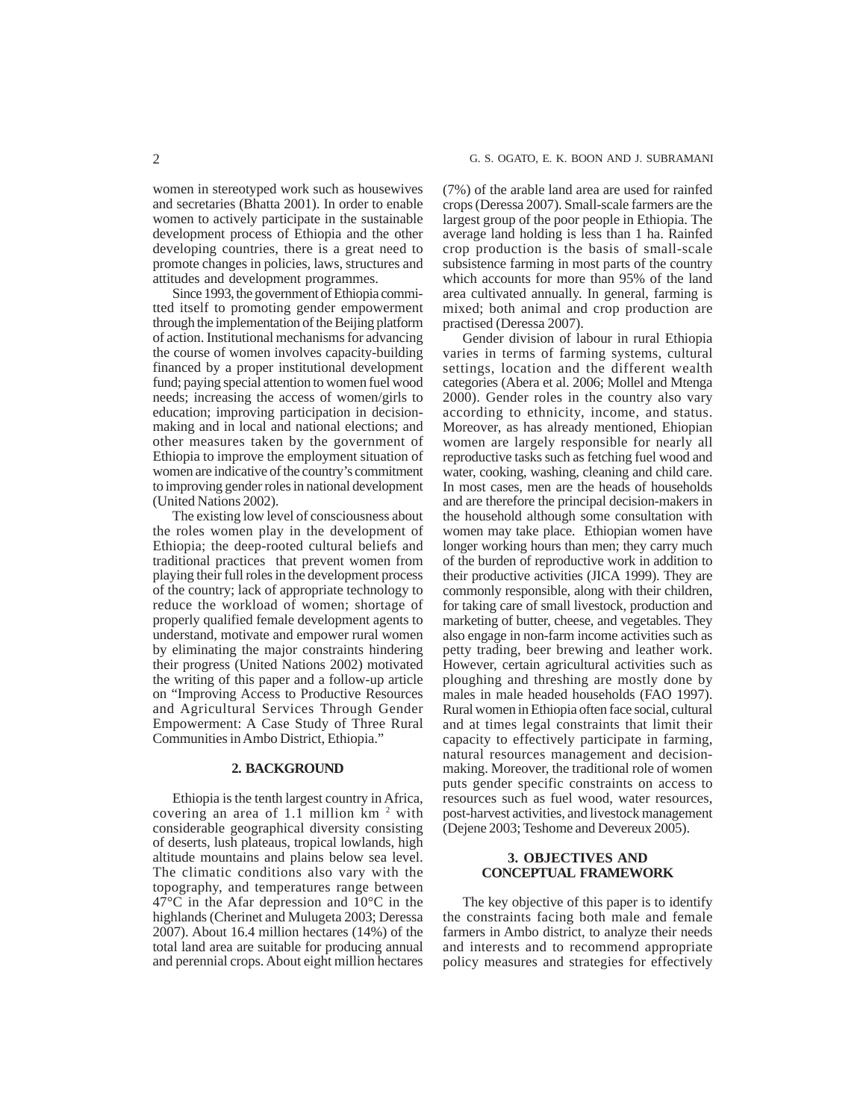women in stereotyped work such as housewives and secretaries (Bhatta 2001). In order to enable women to actively participate in the sustainable development process of Ethiopia and the other developing countries, there is a great need to promote changes in policies, laws, structures and attitudes and development programmes.

Since 1993, the government of Ethiopia committed itself to promoting gender empowerment through the implementation of the Beijing platform of action. Institutional mechanisms for advancing the course of women involves capacity-building financed by a proper institutional development fund; paying special attention to women fuel wood needs; increasing the access of women/girls to education; improving participation in decisionmaking and in local and national elections; and other measures taken by the government of Ethiopia to improve the employment situation of women are indicative of the country's commitment to improving gender roles in national development (United Nations 2002).

The existing low level of consciousness about the roles women play in the development of Ethiopia; the deep-rooted cultural beliefs and traditional practices that prevent women from playing their full roles in the development process of the country; lack of appropriate technology to reduce the workload of women; shortage of properly qualified female development agents to understand, motivate and empower rural women by eliminating the major constraints hindering their progress (United Nations 2002) motivated the writing of this paper and a follow-up article on "Improving Access to Productive Resources and Agricultural Services Through Gender Empowerment: A Case Study of Three Rural Communities in Ambo District, Ethiopia."

### **2. BACKGROUND**

Ethiopia is the tenth largest country in Africa, covering an area of 1.1 million  $km<sup>2</sup>$  with considerable geographical diversity consisting of deserts, lush plateaus, tropical lowlands, high altitude mountains and plains below sea level. The climatic conditions also vary with the topography, and temperatures range between 47°C in the Afar depression and 10°C in the highlands (Cherinet and Mulugeta 2003; Deressa 2007). About 16.4 million hectares (14%) of the total land area are suitable for producing annual and perennial crops. About eight million hectares (7%) of the arable land area are used for rainfed crops (Deressa 2007). Small-scale farmers are the largest group of the poor people in Ethiopia. The average land holding is less than 1 ha. Rainfed crop production is the basis of small-scale subsistence farming in most parts of the country which accounts for more than 95% of the land area cultivated annually. In general, farming is mixed; both animal and crop production are practised (Deressa 2007).

Gender division of labour in rural Ethiopia varies in terms of farming systems, cultural settings, location and the different wealth categories (Abera et al. 2006; Mollel and Mtenga 2000). Gender roles in the country also vary according to ethnicity, income, and status. Moreover, as has already mentioned, Ehiopian women are largely responsible for nearly all reproductive tasks such as fetching fuel wood and water, cooking, washing, cleaning and child care. In most cases, men are the heads of households and are therefore the principal decision-makers in the household although some consultation with women may take place. Ethiopian women have longer working hours than men; they carry much of the burden of reproductive work in addition to their productive activities (JICA 1999). They are commonly responsible, along with their children, for taking care of small livestock, production and marketing of butter, cheese, and vegetables. They also engage in non-farm income activities such as petty trading, beer brewing and leather work. However, certain agricultural activities such as ploughing and threshing are mostly done by males in male headed households (FAO 1997). Rural women in Ethiopia often face social, cultural and at times legal constraints that limit their capacity to effectively participate in farming, natural resources management and decisionmaking. Moreover, the traditional role of women puts gender specific constraints on access to resources such as fuel wood, water resources, post-harvest activities, and livestock management (Dejene 2003; Teshome and Devereux 2005).

## **3. OBJECTIVES AND CONCEPTUAL FRAMEWORK**

The key objective of this paper is to identify the constraints facing both male and female farmers in Ambo district, to analyze their needs and interests and to recommend appropriate policy measures and strategies for effectively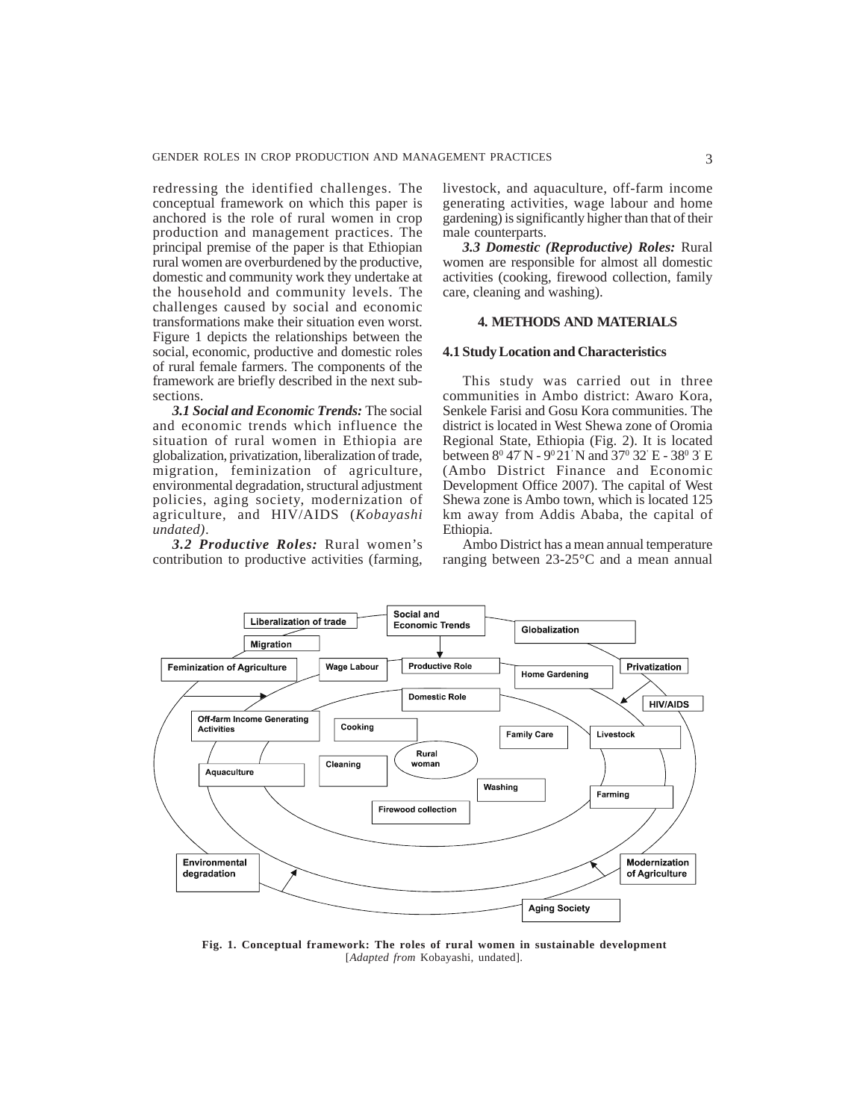redressing the identified challenges. The conceptual framework on which this paper is anchored is the role of rural women in crop production and management practices. The principal premise of the paper is that Ethiopian rural women are overburdened by the productive, domestic and community work they undertake at the household and community levels. The challenges caused by social and economic transformations make their situation even worst. Figure 1 depicts the relationships between the social, economic, productive and domestic roles of rural female farmers. The components of the framework are briefly described in the next subsections.

*3.1 Social and Economic Trends:* The social and economic trends which influence the situation of rural women in Ethiopia are globalization, privatization, liberalization of trade, migration, feminization of agriculture, environmental degradation, structural adjustment policies, aging society, modernization of agriculture, and HIV/AIDS (*Kobayashi undated)*.

*3.2 Productive Roles:* Rural women's contribution to productive activities (farming,

livestock, and aquaculture, off-farm income generating activities, wage labour and home gardening) is significantly higher than that of their male counterparts.

*3.3 Domestic (Reproductive) Roles:* Rural women are responsible for almost all domestic activities (cooking, firewood collection, family care, cleaning and washing).

## **4. METHODS AND MATERIALS**

#### **4.1 Study Location and Characteristics**

This study was carried out in three communities in Ambo district: Awaro Kora, Senkele Farisi and Gosu Kora communities. The district is located in West Shewa zone of Oromia Regional State, Ethiopia (Fig. 2). It is located between  $8^{\circ}$  47' N -  $9^{\circ}$ 21' N and 37 $^{\circ}$  32' E - 38 $^{\circ}$  3' E (Ambo District Finance and Economic Development Office 2007). The capital of West Shewa zone is Ambo town, which is located 125 km away from Addis Ababa, the capital of Ethiopia.

Ambo District has a mean annual temperature ranging between 23-25°C and a mean annual



**Fig. 1. Conceptual framework: The roles of rural women in sustainable development** [*Adapted from* Kobayashi, undated].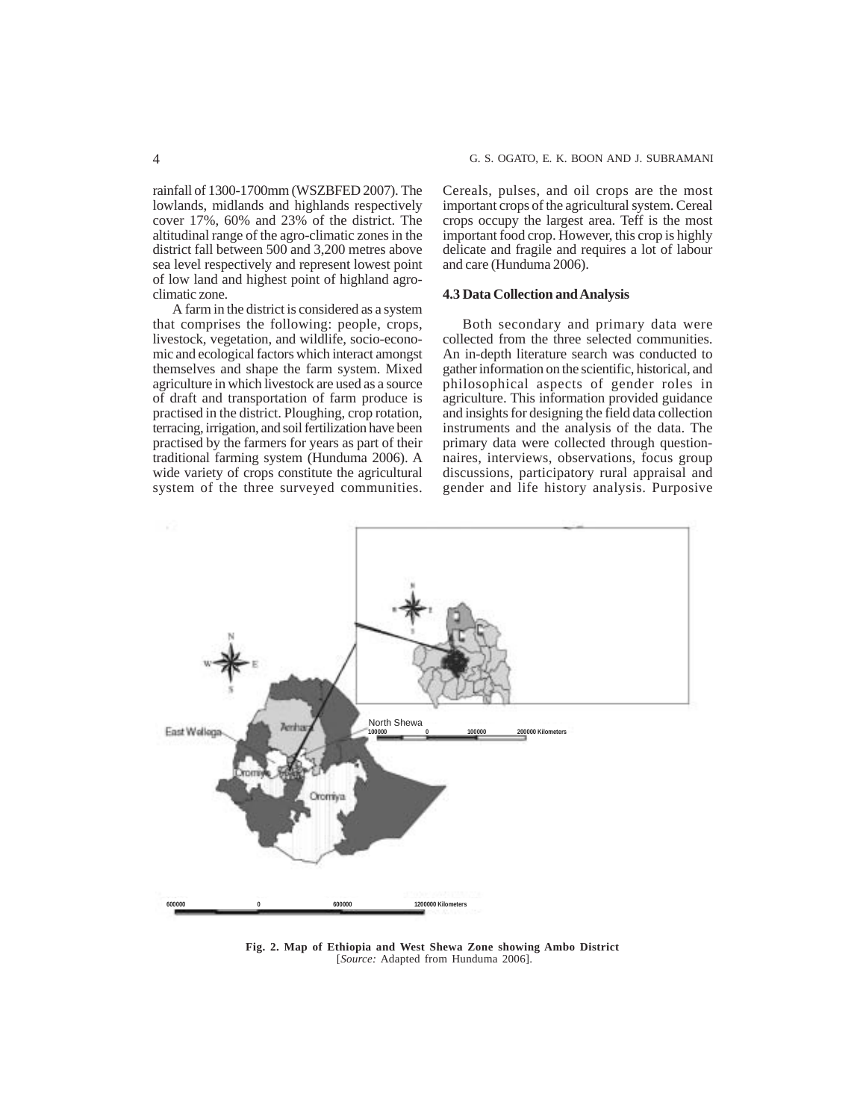rainfall of 1300-1700mm (WSZBFED 2007). The lowlands, midlands and highlands respectively cover 17%, 60% and 23% of the district. The altitudinal range of the agro-climatic zones in the district fall between 500 and 3,200 metres above sea level respectively and represent lowest point of low land and highest point of highland agroclimatic zone.

A farm in the district is considered as a system that comprises the following: people, crops, livestock, vegetation, and wildlife, socio-economic and ecological factors which interact amongst themselves and shape the farm system. Mixed agriculture in which livestock are used as a source of draft and transportation of farm produce is practised in the district. Ploughing, crop rotation, terracing, irrigation, and soil fertilization have been practised by the farmers for years as part of their traditional farming system (Hunduma 2006). A wide variety of crops constitute the agricultural system of the three surveyed communities. Cereals, pulses, and oil crops are the most important crops of the agricultural system. Cereal crops occupy the largest area. Teff is the most important food crop. However, this crop is highly delicate and fragile and requires a lot of labour and care (Hunduma 2006).

### **4.3 Data Collection and Analysis**

Both secondary and primary data were collected from the three selected communities. An in-depth literature search was conducted to gather information on the scientific, historical, and philosophical aspects of gender roles in agriculture. This information provided guidance and insights for designing the field data collection instruments and the analysis of the data. The primary data were collected through questionnaires, interviews, observations, focus group discussions, participatory rural appraisal and gender and life history analysis. Purposive



**Fig. 2. Map of Ethiopia and West Shewa Zone showing Ambo District** [*Source:* Adapted from Hunduma 2006].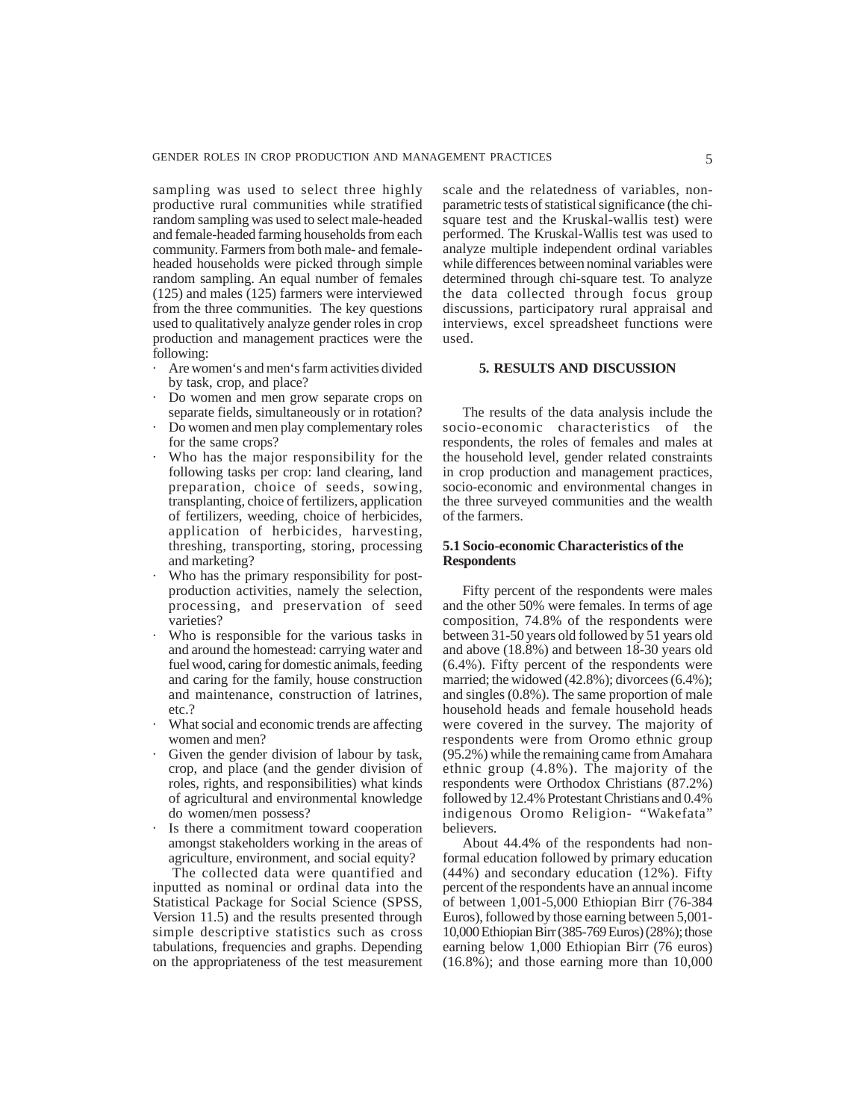sampling was used to select three highly productive rural communities while stratified random sampling was used to select male-headed and female-headed farming households from each community. Farmers from both male- and femaleheaded households were picked through simple random sampling. An equal number of females (125) and males (125) farmers were interviewed from the three communities. The key questions used to qualitatively analyze gender roles in crop production and management practices were the following:

- · Are women's and men's farm activities divided by task, crop, and place?
- · Do women and men grow separate crops on separate fields, simultaneously or in rotation?
- · Do women and men play complementary roles for the same crops?
- Who has the major responsibility for the following tasks per crop: land clearing, land preparation, choice of seeds, sowing, transplanting, choice of fertilizers, application of fertilizers, weeding, choice of herbicides, application of herbicides, harvesting, threshing, transporting, storing, processing and marketing?
- Who has the primary responsibility for postproduction activities, namely the selection, processing, and preservation of seed varieties?
- Who is responsible for the various tasks in and around the homestead: carrying water and fuel wood, caring for domestic animals, feeding and caring for the family, house construction and maintenance, construction of latrines, etc.?
- What social and economic trends are affecting women and men?
- Given the gender division of labour by task, crop, and place (and the gender division of roles, rights, and responsibilities) what kinds of agricultural and environmental knowledge do women/men possess?
- Is there a commitment toward cooperation amongst stakeholders working in the areas of agriculture, environment, and social equity?

The collected data were quantified and inputted as nominal or ordinal data into the Statistical Package for Social Science (SPSS, Version 11.5) and the results presented through simple descriptive statistics such as cross tabulations, frequencies and graphs. Depending on the appropriateness of the test measurement scale and the relatedness of variables, nonparametric tests of statistical significance (the chisquare test and the Kruskal-wallis test) were performed. The Kruskal-Wallis test was used to analyze multiple independent ordinal variables while differences between nominal variables were determined through chi-square test. To analyze the data collected through focus group discussions, participatory rural appraisal and interviews, excel spreadsheet functions were used.

#### **5. RESULTS AND DISCUSSION**

The results of the data analysis include the socio-economic characteristics of the respondents, the roles of females and males at the household level, gender related constraints in crop production and management practices, socio-economic and environmental changes in the three surveyed communities and the wealth of the farmers.

## **5.1 Socio-economic Characteristics of the Respondents**

Fifty percent of the respondents were males and the other 50% were females. In terms of age composition, 74.8% of the respondents were between 31-50 years old followed by 51 years old and above (18.8%) and between 18-30 years old (6.4%). Fifty percent of the respondents were married; the widowed (42.8%); divorcees (6.4%); and singles (0.8%). The same proportion of male household heads and female household heads were covered in the survey. The majority of respondents were from Oromo ethnic group (95.2%) while the remaining came from Amahara ethnic group (4.8%). The majority of the respondents were Orthodox Christians (87.2%) followed by 12.4% Protestant Christians and 0.4% indigenous Oromo Religion- "Wakefata" believers.

About 44.4% of the respondents had nonformal education followed by primary education (44%) and secondary education (12%). Fifty percent of the respondents have an annual income of between 1,001-5,000 Ethiopian Birr (76-384 Euros), followed by those earning between 5,001- 10,000 Ethiopian Birr (385-769 Euros) (28%); those earning below 1,000 Ethiopian Birr (76 euros) (16.8%); and those earning more than 10,000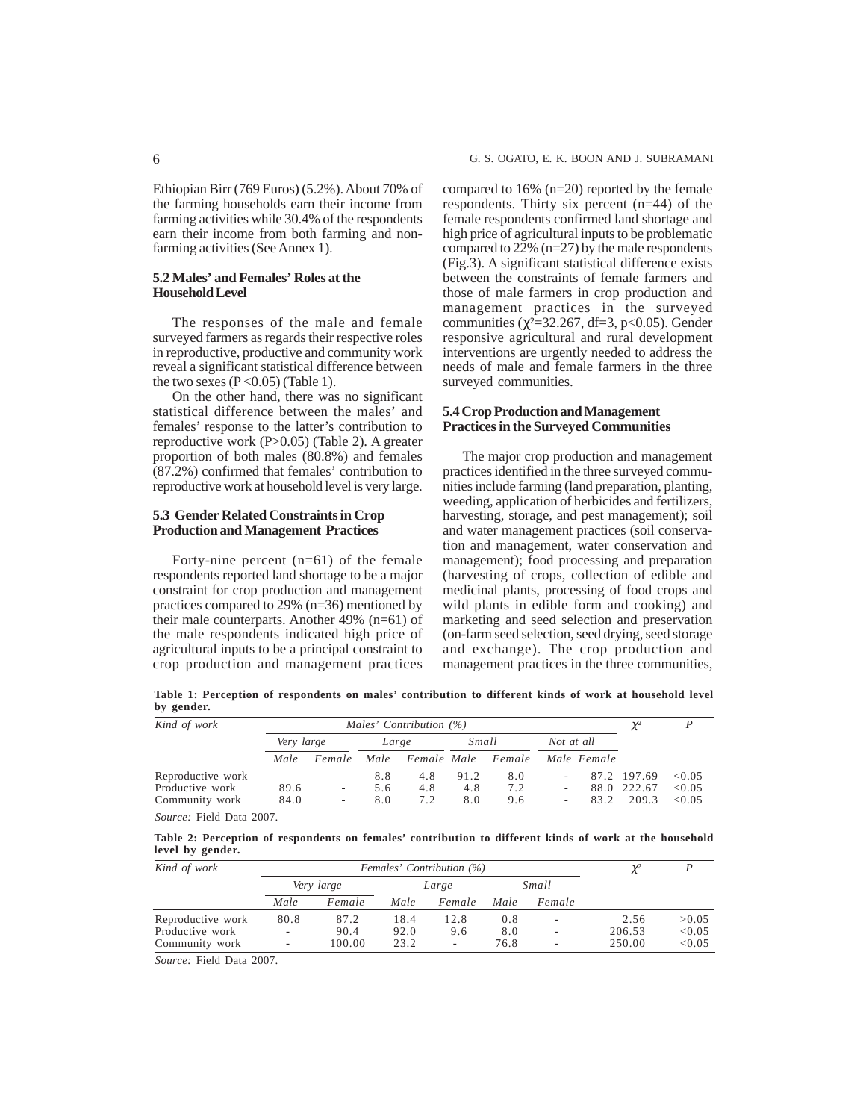Ethiopian Birr (769 Euros) (5.2%). About 70% of the farming households earn their income from farming activities while 30.4% of the respondents earn their income from both farming and nonfarming activities (See Annex 1).

## **5.2 Males' and Females' Roles at the Household Level**

The responses of the male and female surveyed farmers as regards their respective roles in reproductive, productive and community work reveal a significant statistical difference between the two sexes  $(P<0.05)$  (Table 1).

On the other hand, there was no significant statistical difference between the males' and females' response to the latter's contribution to reproductive work (P>0.05) (Table 2). A greater proportion of both males (80.8%) and females (87.2%) confirmed that females' contribution to reproductive work at household level is very large.

## **5.3 Gender Related Constraints in Crop Production and Management Practices**

Forty-nine percent  $(n=61)$  of the female respondents reported land shortage to be a major constraint for crop production and management practices compared to 29% (n=36) mentioned by their male counterparts. Another 49% (n=61) of the male respondents indicated high price of agricultural inputs to be a principal constraint to crop production and management practices compared to 16% (n=20) reported by the female respondents. Thirty six percent (n=44) of the female respondents confirmed land shortage and high price of agricultural inputs to be problematic compared to 22% (n=27) by the male respondents (Fig.3). A significant statistical difference exists between the constraints of female farmers and those of male farmers in crop production and management practices in the surveyed communities ( $χ²=32.267$ , df=3, p<0.05). Gender responsive agricultural and rural development interventions are urgently needed to address the needs of male and female farmers in the three surveyed communities.

## **5.4 Crop Production and Management Practices in the Surveyed Communities**

The major crop production and management practices identified in the three surveyed communities include farming (land preparation, planting, weeding, application of herbicides and fertilizers, harvesting, storage, and pest management); soil and water management practices (soil conservation and management, water conservation and management); food processing and preparation (harvesting of crops, collection of edible and medicinal plants, processing of food crops and wild plants in edible form and cooking) and marketing and seed selection and preservation (on-farm seed selection, seed drying, seed storage and exchange). The crop production and management practices in the three communities,

**Table 1: Perception of respondents on males' contribution to different kinds of work at household level by gender.**

| Kind of work      |            | Males' Contribution (%)        |     | $\mathcal{V}^2$ |      |       |  |             |             |        |
|-------------------|------------|--------------------------------|-----|-----------------|------|-------|--|-------------|-------------|--------|
|                   | Very large |                                |     | Large           |      | Small |  | Not at all  |             |        |
|                   | Male       | Female Male Female Male Female |     |                 |      |       |  | Male Female |             |        |
| Reproductive work |            |                                | 8.8 | 4.8             | 91.2 | 8.0   |  |             | 87.2 197.69 | < 0.05 |
| Productive work   | 89.6       | $\sim$                         | 5.6 | 4.8             | 4.8  | 7.2   |  |             | 88.0 222.67 | < 0.05 |
| Community work    | 84.0       | $\overline{a}$                 | 8.0 | 7.2             | 8.0  | 9.6   |  | 83.2        | 209.3       | < 0.05 |

*Source:* Field Data 2007.

|                  | Table 2: Perception of respondents on females' contribution to different kinds of work at the household |  |  |  |  |  |
|------------------|---------------------------------------------------------------------------------------------------------|--|--|--|--|--|
| level by gender. |                                                                                                         |  |  |  |  |  |

| Kind of work      |      | Females' Contribution (%) |      | $\chi^2$                    |      |        |        |        |
|-------------------|------|---------------------------|------|-----------------------------|------|--------|--------|--------|
|                   |      | Very large                |      | Large                       |      | Small  |        |        |
|                   | Male | Female                    | Male | Female                      | Male | Female |        |        |
| Reproductive work | 80.8 | 87.2                      | 18.4 | 12.8                        | 0.8  |        | 2.56   | >0.05  |
| Productive work   |      | 90.4                      | 92.0 | 9.6                         | 8.0  |        | 206.53 | < 0.05 |
| Community work    |      | 100.00                    | 23.2 | $\mathcal{L}_{\mathcal{A}}$ | 76.8 |        | 250.00 | < 0.05 |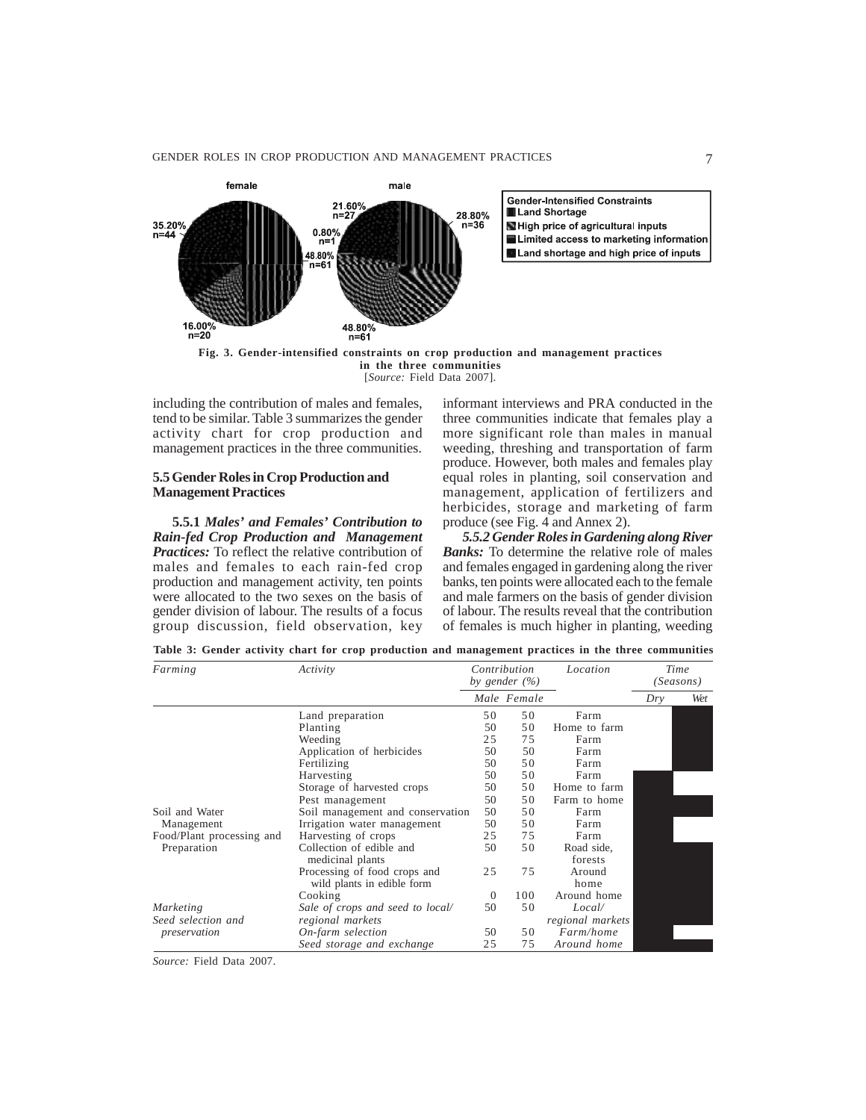

**Fig. 3. Gender-intensified constraints on crop production and management practices in the three communities** [*Source:* Field Data 2007].

including the contribution of males and females, tend to be similar. Table 3 summarizes the gender activity chart for crop production and management practices in the three communities.

## **5.5 Gender Roles in Crop Production and Management Practices**

**5.5.1** *Males' and Females' Contribution to Rain-fed Crop Production and Management Practices:* To reflect the relative contribution of males and females to each rain-fed crop production and management activity, ten points were allocated to the two sexes on the basis of gender division of labour. The results of a focus group discussion, field observation, key informant interviews and PRA conducted in the three communities indicate that females play a more significant role than males in manual weeding, threshing and transportation of farm produce. However, both males and females play equal roles in planting, soil conservation and management, application of fertilizers and herbicides, storage and marketing of farm produce (see Fig. 4 and Annex 2).

*5.5.2 Gender Roles in Gardening along River Banks:* To determine the relative role of males and females engaged in gardening along the river banks, ten points were allocated each to the female and male farmers on the basis of gender division of labour. The results reveal that the contribution of females is much higher in planting, weeding

**Table 3: Gender activity chart for crop production and management practices in the three communities**

| Farming                   | Activity                                                   |          | Contribution<br>by gender $(\% )$ | Location              |     | Time<br>(Seasons) |
|---------------------------|------------------------------------------------------------|----------|-----------------------------------|-----------------------|-----|-------------------|
|                           |                                                            |          | Male Female                       |                       | Drv | Wet               |
|                           | Land preparation                                           | 50       | 50                                | Farm                  |     |                   |
|                           | Planting                                                   | 50       | 50                                | Home to farm          |     |                   |
|                           | Weeding                                                    | 25       | 75                                | Farm                  |     |                   |
|                           | Application of herbicides                                  | 50       | 50                                | Farm                  |     |                   |
|                           | Fertilizing                                                | 50       | 50                                | Farm                  |     |                   |
|                           | Harvesting                                                 | 50       | 50                                | Farm                  |     |                   |
|                           | Storage of harvested crops                                 | 50       | 50                                | Home to farm          |     |                   |
|                           | Pest management                                            | 50       | 50                                | Farm to home          |     |                   |
| Soil and Water            | Soil management and conservation                           | 50       | 50                                | Farm                  |     |                   |
| Management                | Irrigation water management                                | 50       | 50                                | Farm                  |     |                   |
| Food/Plant processing and | Harvesting of crops                                        | 25       | 75                                | Farm                  |     |                   |
| Preparation               | Collection of edible and<br>medicinal plants               | 50       | 50                                | Road side,<br>forests |     |                   |
|                           | Processing of food crops and<br>wild plants in edible form | 25       | 75                                | Around<br>home        |     |                   |
|                           | Cooking                                                    | $\theta$ | 100                               | Around home           |     |                   |
| Marketing                 | Sale of crops and seed to local/                           | 50       | 50                                | Local/                |     |                   |
| Seed selection and        | regional markets                                           |          |                                   | regional markets      |     |                   |
| preservation              | On-farm selection                                          | 50       | 50                                | Farm/home             |     |                   |
|                           | Seed storage and exchange                                  | 25       | 75                                | Around home           |     |                   |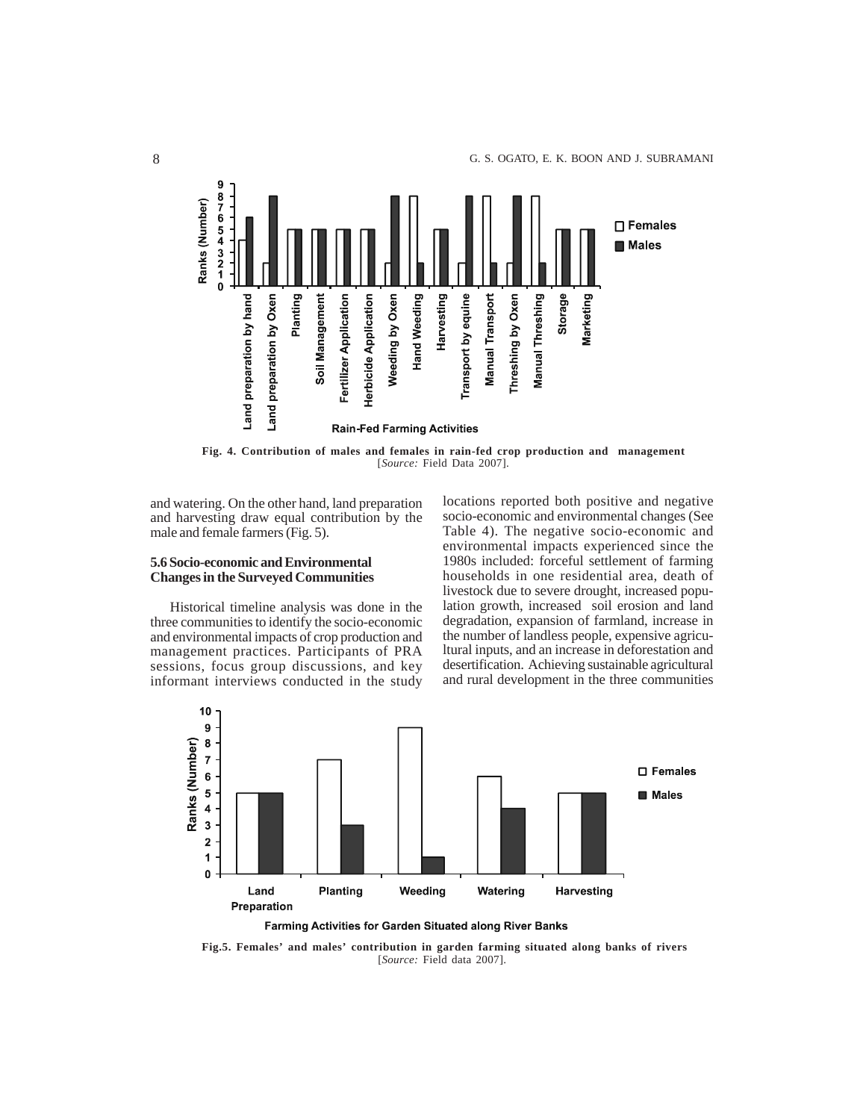

**Fig. 4. Contribution of males and females in rain-fed crop production and management** [*Source:* Field Data 2007].

and watering. On the other hand, land preparation and harvesting draw equal contribution by the male and female farmers (Fig. 5).

#### **5.6 Socio-economic and Environmental Changes in the Surveyed Communities**

Historical timeline analysis was done in the three communities to identify the socio-economic and environmental impacts of crop production and management practices. Participants of PRA sessions, focus group discussions, and key informant interviews conducted in the study locations reported both positive and negative socio-economic and environmental changes (See Table 4). The negative socio-economic and environmental impacts experienced since the 1980s included: forceful settlement of farming households in one residential area, death of livestock due to severe drought, increased population growth, increased soil erosion and land degradation, expansion of farmland, increase in the number of landless people, expensive agricultural inputs, and an increase in deforestation and desertification. Achieving sustainable agricultural and rural development in the three communities





 **Fig.5. Females' and males' contribution in garden farming situated along banks of rivers** [*Source:* Field data 2007].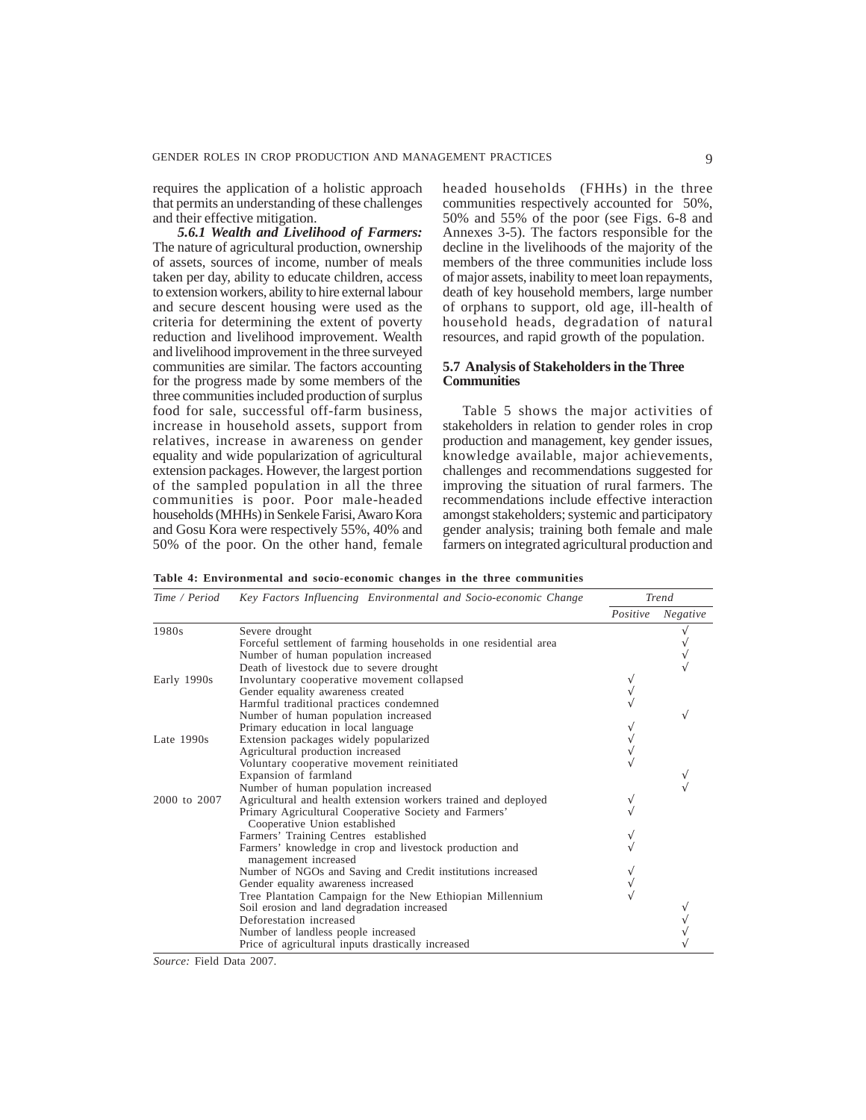requires the application of a holistic approach that permits an understanding of these challenges and their effective mitigation.

*5.6.1 Wealth and Livelihood of Farmers:* The nature of agricultural production, ownership of assets, sources of income, number of meals taken per day, ability to educate children, access to extension workers, ability to hire external labour and secure descent housing were used as the criteria for determining the extent of poverty reduction and livelihood improvement. Wealth and livelihood improvement in the three surveyed communities are similar. The factors accounting for the progress made by some members of the three communities included production of surplus food for sale, successful off-farm business, increase in household assets, support from relatives, increase in awareness on gender equality and wide popularization of agricultural extension packages. However, the largest portion of the sampled population in all the three communities is poor. Poor male-headed households (MHHs) in Senkele Farisi, Awaro Kora and Gosu Kora were respectively 55%, 40% and 50% of the poor. On the other hand, female headed households (FHHs) in the three communities respectively accounted for 50%, 50% and 55% of the poor (see Figs. 6-8 and Annexes 3-5). The factors responsible for the decline in the livelihoods of the majority of the members of the three communities include loss of major assets, inability to meet loan repayments, death of key household members, large number of orphans to support, old age, ill-health of household heads, degradation of natural resources, and rapid growth of the population.

## **5.7 Analysis of Stakeholders in the Three Communities**

Table 5 shows the major activities of stakeholders in relation to gender roles in crop production and management, key gender issues, knowledge available, major achievements, challenges and recommendations suggested for improving the situation of rural farmers. The recommendations include effective interaction amongst stakeholders; systemic and participatory gender analysis; training both female and male farmers on integrated agricultural production and

**Table 4: Environmental and socio-economic changes in the three communities**

| Time / Period | Key Factors Influencing Environmental and Socio-economic Change   |          | Trend           |
|---------------|-------------------------------------------------------------------|----------|-----------------|
|               |                                                                   | Positive | <b>Negative</b> |
| 1980s         | Severe drought                                                    |          |                 |
|               | Forceful settlement of farming households in one residential area |          |                 |
|               | Number of human population increased                              |          |                 |
|               | Death of livestock due to severe drought                          |          |                 |
| Early 1990s   | Involuntary cooperative movement collapsed                        |          |                 |
|               | Gender equality awareness created                                 |          |                 |
|               | Harmful traditional practices condemned                           |          |                 |
|               | Number of human population increased                              |          |                 |
|               | Primary education in local language                               |          |                 |
| Late $1990s$  | Extension packages widely popularized                             |          |                 |
|               | Agricultural production increased                                 |          |                 |
|               | Voluntary cooperative movement reinitiated                        |          |                 |
|               | Expansion of farmland                                             |          |                 |
|               | Number of human population increased                              |          |                 |
| 2000 to 2007  | Agricultural and health extension workers trained and deployed    |          |                 |
|               | Primary Agricultural Cooperative Society and Farmers'             |          |                 |
|               | Cooperative Union established                                     |          |                 |
|               | Farmers' Training Centres established                             |          |                 |
|               | Farmers' knowledge in crop and livestock production and           |          |                 |
|               | management increased                                              |          |                 |
|               | Number of NGOs and Saving and Credit institutions increased       |          |                 |
|               | Gender equality awareness increased                               |          |                 |
|               | Tree Plantation Campaign for the New Ethiopian Millennium         |          |                 |
|               | Soil erosion and land degradation increased                       |          |                 |
|               | Deforestation increased                                           |          |                 |
|               | Number of landless people increased                               |          |                 |
|               | Price of agricultural inputs drastically increased                |          |                 |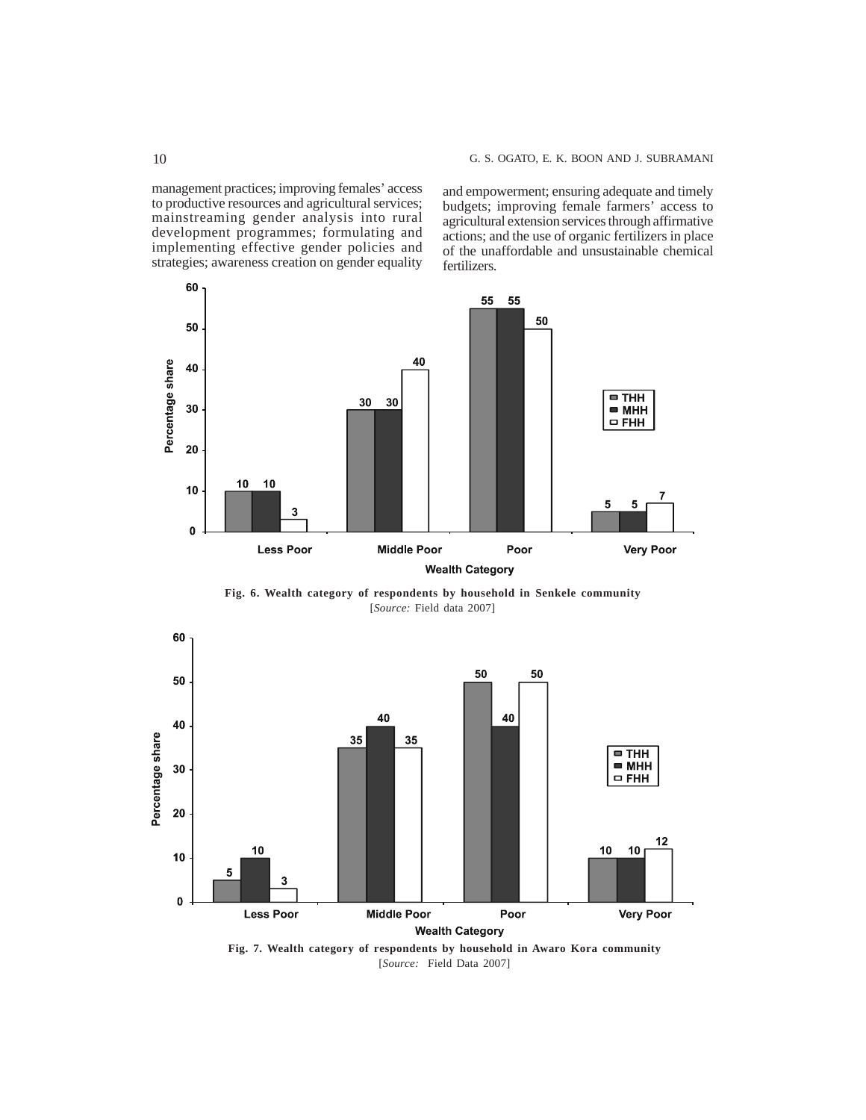management practices; improving females' access to productive resources and agricultural services; mainstreaming gender analysis into rural development programmes; formulating and implementing effective gender policies and strategies; awareness creation on gender equality

and empowerment; ensuring adequate and timely budgets; improving female farmers' access to agricultural extension services through affirmative actions; and the use of organic fertilizers in place of the unaffordable and unsustainable chemical fertilizers.



**Fig. 6. Wealth category of respondents by household in Senkele community** [*Source:* Field data 2007]



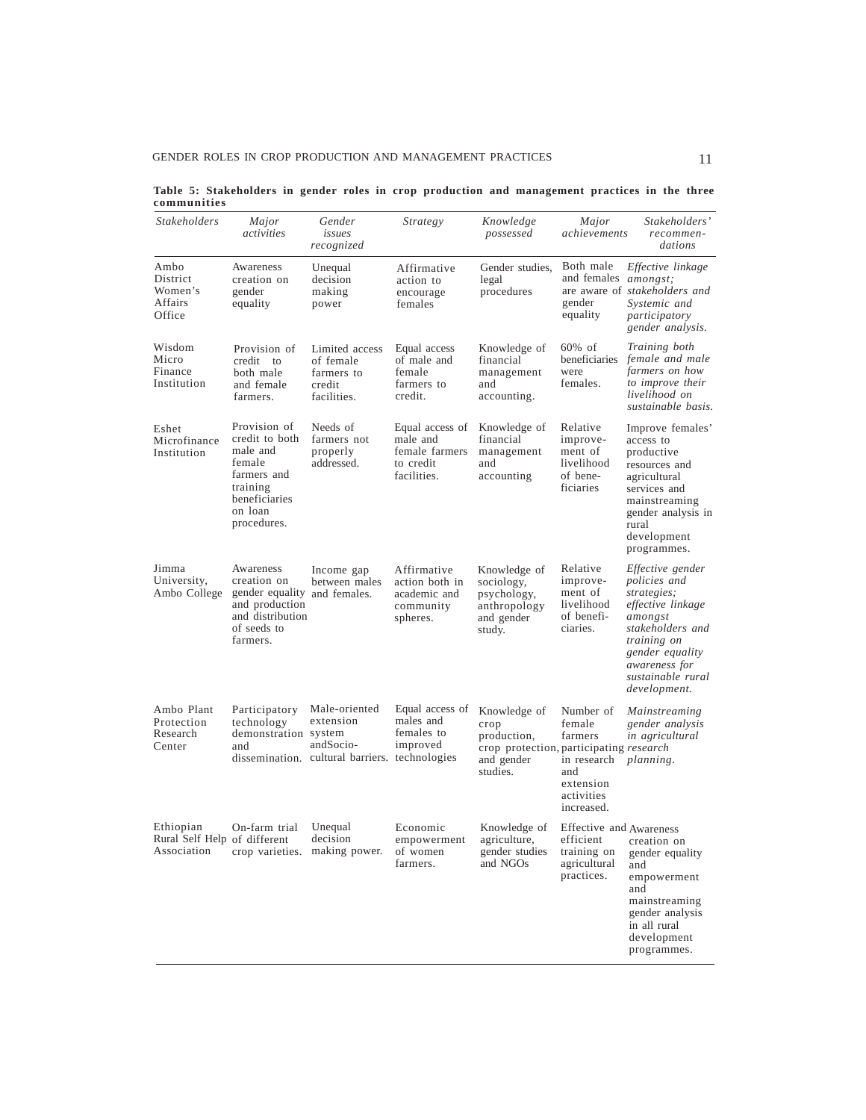| <b>Stakeholders</b>                                      | Major<br>activities                                                                                                        | Gender<br>issues<br>recognized                                                            | <i>Strategy</i>                                                           | Knowledge<br>possessed                                                                                   | Major<br>achievements                                                                         | Stakeholders'<br>recommen-<br>dations                                                                                                                                                                     |
|----------------------------------------------------------|----------------------------------------------------------------------------------------------------------------------------|-------------------------------------------------------------------------------------------|---------------------------------------------------------------------------|----------------------------------------------------------------------------------------------------------|-----------------------------------------------------------------------------------------------|-----------------------------------------------------------------------------------------------------------------------------------------------------------------------------------------------------------|
| Ambo<br>District<br>Women's<br>Affairs<br>Office         | Awareness<br>creation on<br>gender<br>equality                                                                             | Unequal<br>decision<br>making<br>power                                                    | Affirmative<br>action to<br>encourage<br>females                          | Gender studies,<br>legal<br>procedures                                                                   | Both male<br>and females amongst;<br>gender<br>equality                                       | Effective linkage<br>are aware of <i>stakeholders</i> and<br>Systemic and<br>participatory<br>gender analysis.                                                                                            |
| Wisdom<br>Micro<br>Finance<br>Institution                | Provision of<br>credit to<br>both male<br>and female<br>farmers.                                                           | Limited access<br>of female<br>farmers to<br>credit<br>facilities.                        | Equal access<br>of male and<br>female<br>farmers to<br>credit.            | Knowledge of<br>financial<br>management<br>and<br>accounting.                                            | $60\%$ of<br>beneficiaries<br>were<br>females.                                                | Training both<br>female and male<br>farmers on how<br>to improve their<br>livelihood on<br>sustainable basis.                                                                                             |
| Eshet<br>Microfinance<br>Institution                     | Provision of<br>credit to both<br>male and<br>female<br>farmers and<br>training<br>beneficiaries<br>on loan<br>procedures. | Needs of<br>farmers not<br>properly<br>addressed.                                         | Equal access of<br>male and<br>female farmers<br>to credit<br>facilities. | Knowledge of<br>financial<br>management<br>and<br>accounting                                             | Relative<br>improve-<br>ment of<br>livelihood<br>of bene-<br>ficiaries                        | Improve females'<br>access to<br>productive<br>resources and<br>agricultural<br>services and<br>mainstreaming<br>gender analysis in<br>rural<br>development<br>programmes.                                |
| Jimma<br>University,<br>Ambo College                     | Awareness<br>creation on<br>gender equality and females.<br>and production<br>and distribution<br>of seeds to<br>farmers.  | Income gap<br>between males                                                               | Affirmative<br>action both in<br>academic and<br>community<br>spheres.    | Knowledge of<br>sociology,<br>psychology,<br>anthropology<br>and gender<br>study.                        | Relative<br>improve-<br>ment of<br>livelihood<br>of benefi-<br>ciaries.                       | Effective gender<br><i>policies</i> and<br>strategies;<br>effective linkage<br>amongst<br>stakeholders and<br>training on<br>gender equality<br><i>awareness for</i><br>sustainable rural<br>development. |
| Ambo Plant<br>Protection<br>Research<br>Center           | Participatory<br>technology<br>demonstration system<br>and                                                                 | Male-oriented<br>extension<br>andSocio-<br>dissemination. cultural barriers. technologies | Equal access of<br>males and<br>females to<br>improved                    | Knowledge of<br>crop<br>production,<br>crop protection, participating research<br>and gender<br>studies. | Number of<br>female<br>farmers<br>in research<br>and<br>extension<br>activities<br>increased. | Mainstreaming<br>gender analysis<br>in agricultural<br>planning.                                                                                                                                          |
| Ethiopian<br>Rural Self Help of different<br>Association | On-farm trial<br>crop varieties. making power.                                                                             | Unequal<br>decision                                                                       | Economic<br>empowerment<br>of women<br>farmers.                           | Knowledge of<br>agriculture,<br>gender studies<br>and NGOs                                               | <b>Effective and Awareness</b><br>efficient<br>training on<br>agricultural<br>practices.      | creation on<br>gender equality<br>and<br>empowerment<br>and<br>mainstreaming<br>gender analysis<br>in all rural<br>development<br>programmes.                                                             |

**Table 5: Stakeholders in gender roles in crop production and management practices in the three communities**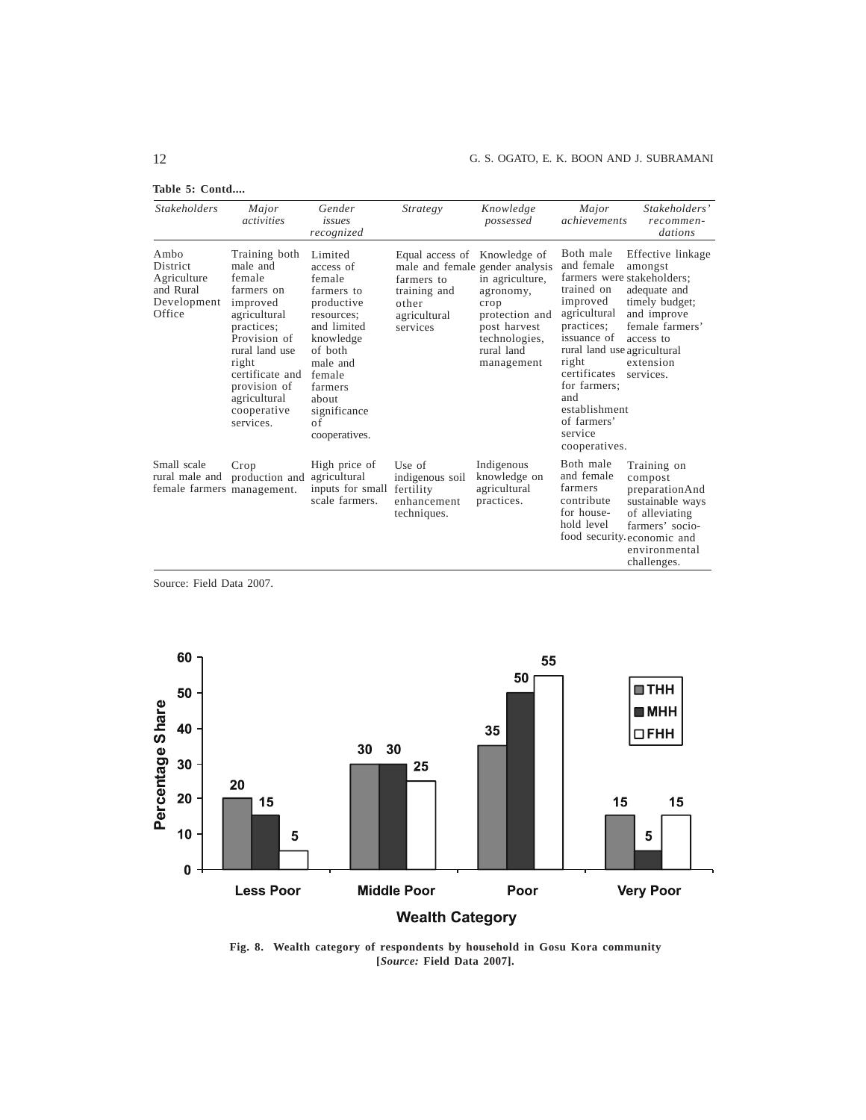**Table 5: Contd....**

| <b>Stakeholders</b>                                                   | Major<br>activities                                                                                                                                                                                                   | Gender<br>issues<br>recognized                                                                                                                                                                   | <b>Strategy</b>                                                                                 | Knowledge<br>possessed                                                                                                                                 | Major<br>achievements                                                                                                                                                                                                                     | Stakeholders'<br>recommen-<br>dations                                                                                                                                 |
|-----------------------------------------------------------------------|-----------------------------------------------------------------------------------------------------------------------------------------------------------------------------------------------------------------------|--------------------------------------------------------------------------------------------------------------------------------------------------------------------------------------------------|-------------------------------------------------------------------------------------------------|--------------------------------------------------------------------------------------------------------------------------------------------------------|-------------------------------------------------------------------------------------------------------------------------------------------------------------------------------------------------------------------------------------------|-----------------------------------------------------------------------------------------------------------------------------------------------------------------------|
| Ambo<br>District<br>Agriculture<br>and Rural<br>Development<br>Office | Training both<br>male and<br>female<br>farmers on<br>improved<br>agricultural<br>practices;<br>Provision of<br>rural land use<br>right<br>certificate and<br>provision of<br>agricultural<br>cooperative<br>services. | Limited<br>access of<br>female<br>farmers to<br>productive<br>resources;<br>and limited<br>knowledge<br>of both<br>male and<br>female<br>farmers<br>about<br>significance<br>of<br>cooperatives. | Equal access of Knowledge of<br>farmers to<br>training and<br>other<br>agricultural<br>services | male and female gender analysis<br>in agriculture,<br>agronomy,<br>crop<br>protection and<br>post harvest<br>technologies,<br>rural land<br>management | Both male<br>and female<br>trained on<br>improved<br>agricultural<br>practices;<br>issuance of<br>rural land use agricultural<br>right<br>certificates<br>for farmers;<br>and<br>establishment<br>of farmers'<br>service<br>cooperatives. | Effective linkage<br>amongst<br>farmers were stakeholders:<br>adequate and<br>timely budget;<br>and improve<br>female farmers'<br>access to<br>extension<br>services. |
| Small scale<br>rural male and<br>female farmers management.           | Crop<br>production and                                                                                                                                                                                                | High price of<br>agricultural<br>inputs for small<br>scale farmers.                                                                                                                              | Use of<br>indigenous soil<br>fertility<br>enhancement<br>techniques.                            | Indigenous<br>knowledge on<br>agricultural<br>practices.                                                                                               | Both male<br>and female<br>farmers<br>contribute<br>for house-<br>hold level                                                                                                                                                              | Training on<br>compost<br>preparationAnd<br>sustainable ways<br>of alleviating<br>farmers' socio-<br>food security economic and<br>environmental<br>challenges.       |

Source: Field Data 2007.



**Fig. 8. Wealth category of respondents by household in Gosu Kora community [***Source:* **Field Data 2007].**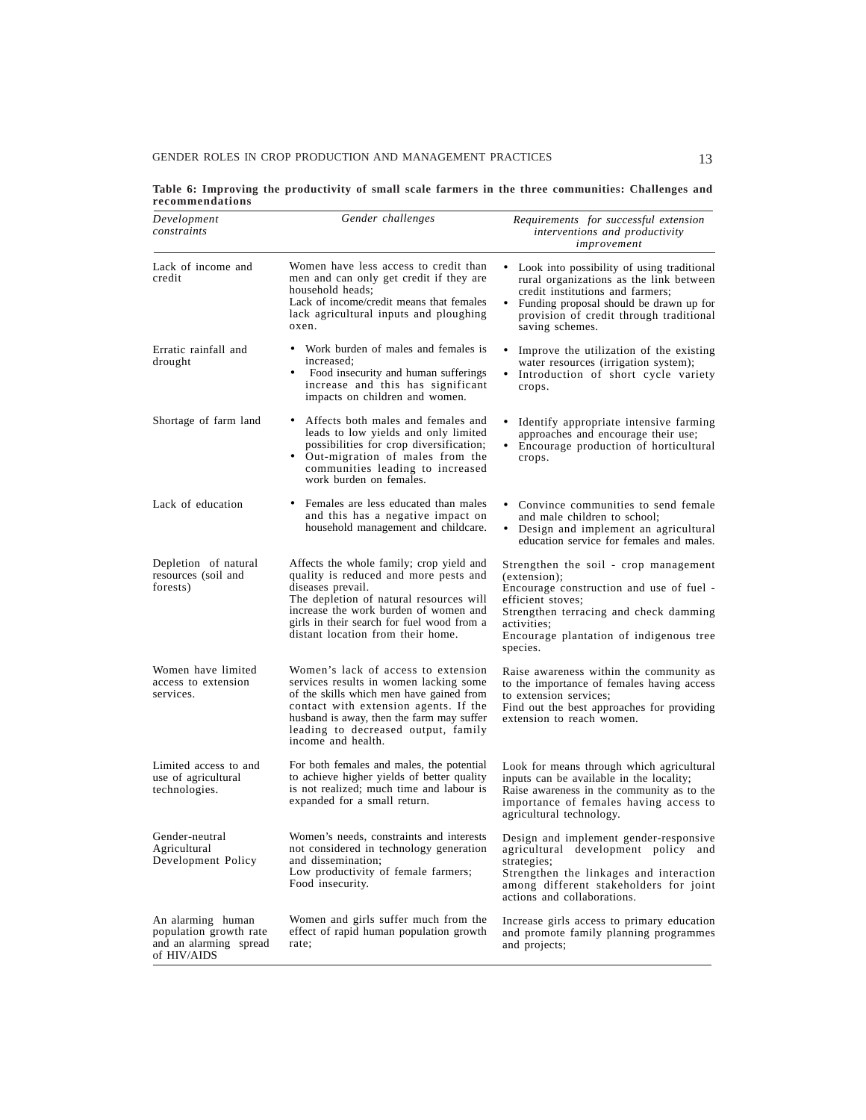## GENDER ROLES IN CROP PRODUCTION AND MANAGEMENT PRACTICES 13

#### **Table 6: Improving the productivity of small scale farmers in the three communities: Challenges and recommendations**

| Development<br>constraints                                                           | Gender challenges                                                                                                                                                                                                                                                             | Requirements for successful extension<br>interventions and productivity<br>improvement                                                                                                                                                 |
|--------------------------------------------------------------------------------------|-------------------------------------------------------------------------------------------------------------------------------------------------------------------------------------------------------------------------------------------------------------------------------|----------------------------------------------------------------------------------------------------------------------------------------------------------------------------------------------------------------------------------------|
| Lack of income and<br>credit                                                         | Women have less access to credit than<br>men and can only get credit if they are<br>household heads;<br>Lack of income/credit means that females<br>lack agricultural inputs and ploughing<br>oxen.                                                                           | • Look into possibility of using traditional<br>rural organizations as the link between<br>credit institutions and farmers;<br>• Funding proposal should be drawn up for<br>provision of credit through traditional<br>saving schemes. |
| Erratic rainfall and<br>drought                                                      | • Work burden of males and females is<br>increased:<br>Food insecurity and human sufferings<br>$\bullet$<br>increase and this has significant<br>impacts on children and women.                                                                                               | • Improve the utilization of the existing<br>water resources (irrigation system);<br>• Introduction of short cycle variety<br>crops.                                                                                                   |
| Shortage of farm land                                                                | • Affects both males and females and<br>leads to low yields and only limited<br>possibilities for crop diversification;<br>• Out-migration of males from the<br>communities leading to increased<br>work burden on females.                                                   | Identify appropriate intensive farming<br>approaches and encourage their use;<br>Encourage production of horticultural<br>$\bullet$<br>crops.                                                                                          |
| Lack of education                                                                    | • Females are less educated than males<br>and this has a negative impact on<br>household management and childcare.                                                                                                                                                            | • Convince communities to send female<br>and male children to school;<br>• Design and implement an agricultural<br>education service for females and males.                                                                            |
| Depletion of natural<br>resources (soil and<br>forests)                              | Affects the whole family; crop yield and<br>quality is reduced and more pests and<br>diseases prevail.<br>The depletion of natural resources will<br>increase the work burden of women and<br>girls in their search for fuel wood from a<br>distant location from their home. | Strengthen the soil - crop management<br>(extension);<br>Encourage construction and use of fuel -<br>efficient stoves;<br>Strengthen terracing and check damming<br>activities;<br>Encourage plantation of indigenous tree<br>species. |
| Women have limited<br>access to extension<br>services.                               | Women's lack of access to extension<br>services results in women lacking some<br>of the skills which men have gained from<br>contact with extension agents. If the<br>husband is away, then the farm may suffer<br>leading to decreased output, family<br>income and health.  | Raise awareness within the community as<br>to the importance of females having access<br>to extension services;<br>Find out the best approaches for providing<br>extension to reach women.                                             |
| Limited access to and<br>use of agricultural<br>technologies.                        | For both females and males, the potential<br>to achieve higher yields of better quality<br>is not realized; much time and labour is<br>expanded for a small return.                                                                                                           | Look for means through which agricultural<br>inputs can be available in the locality;<br>Raise awareness in the community as to the<br>importance of females having access to<br>agricultural technology.                              |
| Gender-neutral<br>Agricultural<br>Development Policy                                 | Women's needs, constraints and interests<br>not considered in technology generation<br>and dissemination;<br>Low productivity of female farmers;<br>Food insecurity.                                                                                                          | Design and implement gender-responsive<br>agricultural development policy and<br>strategies;<br>Strengthen the linkages and interaction<br>among different stakeholders for joint<br>actions and collaborations.                       |
| An alarming human<br>population growth rate<br>and an alarming spread<br>of HIV/AIDS | Women and girls suffer much from the<br>effect of rapid human population growth<br>rate;                                                                                                                                                                                      | Increase girls access to primary education<br>and promote family planning programmes<br>and projects;                                                                                                                                  |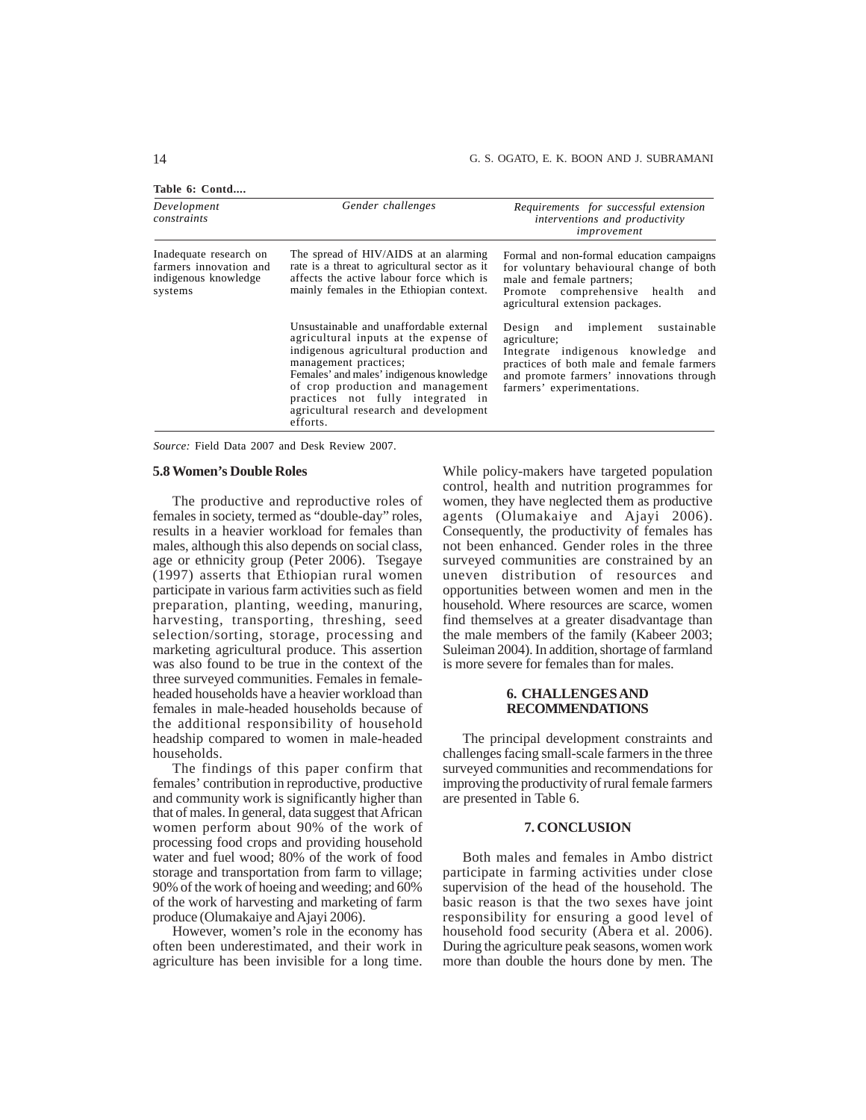| Table 6: Contd                                                                      |                                                                                                                                                                                                                                                                                                                                |                                                                                                                                                                                                                     |  |  |  |  |  |
|-------------------------------------------------------------------------------------|--------------------------------------------------------------------------------------------------------------------------------------------------------------------------------------------------------------------------------------------------------------------------------------------------------------------------------|---------------------------------------------------------------------------------------------------------------------------------------------------------------------------------------------------------------------|--|--|--|--|--|
| Development<br>constraints                                                          | Gender challenges                                                                                                                                                                                                                                                                                                              | Requirements for successful extension<br>interventions and productivity<br>improvement                                                                                                                              |  |  |  |  |  |
| Inadequate research on<br>farmers innovation and<br>indigenous knowledge<br>systems | The spread of HIV/AIDS at an alarming<br>rate is a threat to agricultural sector as it<br>affects the active labour force which is<br>mainly females in the Ethiopian context.                                                                                                                                                 | Formal and non-formal education campaigns<br>for voluntary behavioural change of both<br>male and female partners;<br>Promote comprehensive health<br>and<br>agricultural extension packages.                       |  |  |  |  |  |
|                                                                                     | Unsustainable and unaffordable external<br>agricultural inputs at the expense of<br>indigenous agricultural production and<br>management practices;<br>Females' and males' indigenous knowledge<br>of crop production and management<br>practices not fully integrated in<br>agricultural research and development<br>efforts. | and implement<br>sustainable<br>Design<br>agriculture;<br>Integrate indigenous knowledge and<br>practices of both male and female farmers<br>and promote farmers' innovations through<br>farmers' experimentations. |  |  |  |  |  |

*Source:* Field Data 2007 and Desk Review 2007.

#### **5.8 Women's Double Roles**

The productive and reproductive roles of females in society, termed as "double-day" roles, results in a heavier workload for females than males, although this also depends on social class, age or ethnicity group (Peter 2006). Tsegaye (1997) asserts that Ethiopian rural women participate in various farm activities such as field preparation, planting, weeding, manuring, harvesting, transporting, threshing, seed selection/sorting, storage, processing and marketing agricultural produce. This assertion was also found to be true in the context of the three surveyed communities. Females in femaleheaded households have a heavier workload than females in male-headed households because of the additional responsibility of household headship compared to women in male-headed households.

The findings of this paper confirm that females' contribution in reproductive, productive and community work is significantly higher than that of males. In general, data suggest that African women perform about 90% of the work of processing food crops and providing household water and fuel wood; 80% of the work of food storage and transportation from farm to village; 90% of the work of hoeing and weeding; and 60% of the work of harvesting and marketing of farm produce (Olumakaiye and Ajayi 2006).

However, women's role in the economy has often been underestimated, and their work in agriculture has been invisible for a long time.

While policy-makers have targeted population control, health and nutrition programmes for women, they have neglected them as productive agents (Olumakaiye and Ajayi 2006). Consequently, the productivity of females has not been enhanced. Gender roles in the three surveyed communities are constrained by an uneven distribution of resources and opportunities between women and men in the household. Where resources are scarce, women find themselves at a greater disadvantage than the male members of the family (Kabeer 2003; Suleiman 2004). In addition, shortage of farmland is more severe for females than for males.

#### **6. CHALLENGES AND RECOMMENDATIONS**

The principal development constraints and challenges facing small-scale farmers in the three surveyed communities and recommendations for improving the productivity of rural female farmers are presented in Table 6.

#### **7. CONCLUSION**

Both males and females in Ambo district participate in farming activities under close supervision of the head of the household. The basic reason is that the two sexes have joint responsibility for ensuring a good level of household food security (Abera et al. 2006). During the agriculture peak seasons, women work more than double the hours done by men. The

**Table 6: Contd....**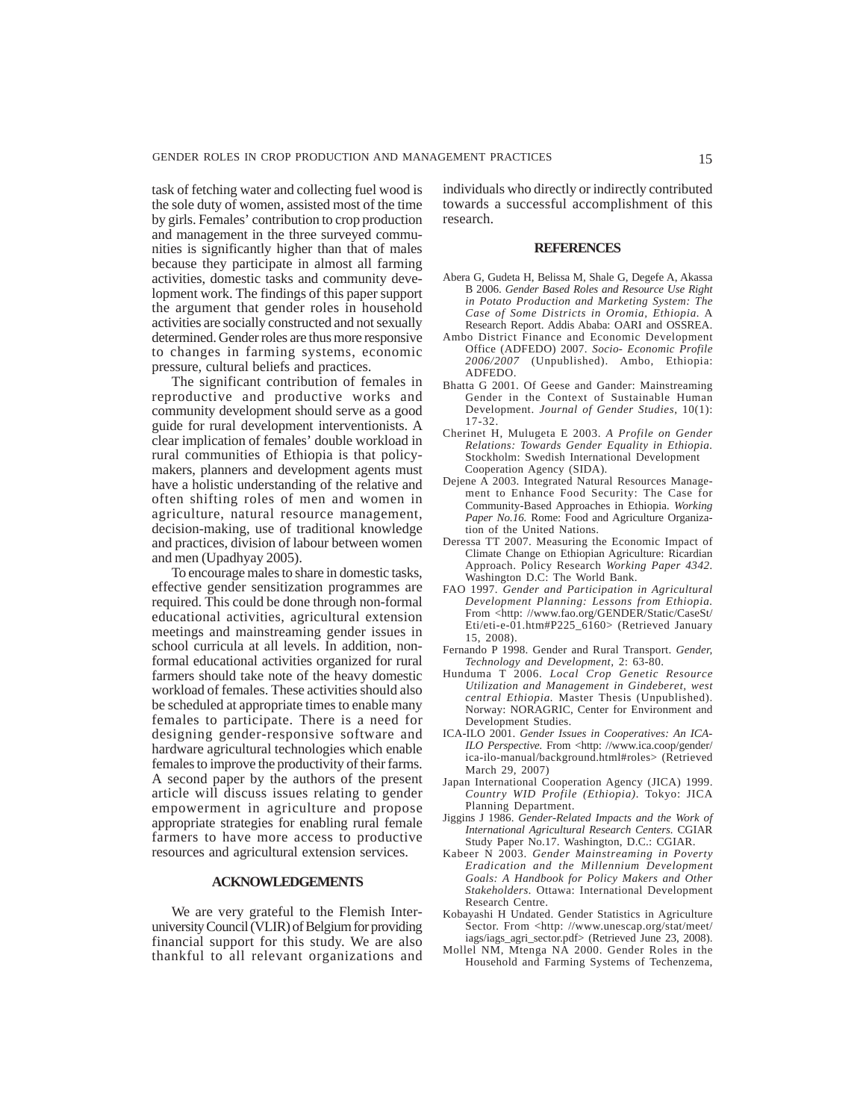task of fetching water and collecting fuel wood is the sole duty of women, assisted most of the time by girls. Females' contribution to crop production and management in the three surveyed communities is significantly higher than that of males because they participate in almost all farming activities, domestic tasks and community development work. The findings of this paper support the argument that gender roles in household activities are socially constructed and not sexually determined. Gender roles are thus more responsive to changes in farming systems, economic pressure, cultural beliefs and practices.

The significant contribution of females in reproductive and productive works and community development should serve as a good guide for rural development interventionists. A clear implication of females' double workload in rural communities of Ethiopia is that policymakers, planners and development agents must have a holistic understanding of the relative and often shifting roles of men and women in agriculture, natural resource management, decision-making, use of traditional knowledge and practices, division of labour between women and men (Upadhyay 2005).

To encourage males to share in domestic tasks, effective gender sensitization programmes are required. This could be done through non-formal educational activities, agricultural extension meetings and mainstreaming gender issues in school curricula at all levels. In addition, nonformal educational activities organized for rural farmers should take note of the heavy domestic workload of females. These activities should also be scheduled at appropriate times to enable many females to participate. There is a need for designing gender-responsive software and hardware agricultural technologies which enable females to improve the productivity of their farms. A second paper by the authors of the present article will discuss issues relating to gender empowerment in agriculture and propose appropriate strategies for enabling rural female farmers to have more access to productive resources and agricultural extension services.

#### **ACKNOWLEDGEMENTS**

We are very grateful to the Flemish Interuniversity Council (VLIR) of Belgium for providing financial support for this study. We are also thankful to all relevant organizations and individuals who directly or indirectly contributed towards a successful accomplishment of this research.

#### **REFERENCES**

- Abera G, Gudeta H, Belissa M, Shale G, Degefe A, Akassa B 2006. *Gender Based Roles and Resource Use Right in Potato Production and Marketing System: The Case of Some Districts in Oromia, Ethiopia.* A Research Report. Addis Ababa: OARI and OSSREA.
- Ambo District Finance and Economic Development Office (ADFEDO) 2007. *Socio- Economic Profile 2006/2007* (Unpublished). Ambo, Ethiopia: ADFEDO.
- Bhatta G 2001. Of Geese and Gander: Mainstreaming Gender in the Context of Sustainable Human Development. *Journal of Gender Studies*, 10(1): 17-32.
- Cherinet H, Mulugeta E 2003. *A Profile on Gender Relations: Towards Gender Equality in Ethiopia.* Stockholm: Swedish International Development Cooperation Agency (SIDA).
- Dejene A 2003. Integrated Natural Resources Management to Enhance Food Security: The Case for Community-Based Approaches in Ethiopia*. Working Paper No.16.* Rome: Food and Agriculture Organization of the United Nations.
- Deressa TT 2007. Measuring the Economic Impact of Climate Change on Ethiopian Agriculture: Ricardian Approach. Policy Research *Working Paper 4342.* Washington D.C: The World Bank.
- FAO 1997. *Gender and Participation in Agricultural Development Planning: Lessons from Ethiopia.* From <http: //www.fao.org/GENDER/Static/CaseSt/ Eti/eti-e-01.htm#P225\_6160> (Retrieved January 15, 2008).
- Fernando P 1998. Gender and Rural Transport. *Gender, Technology and Development,* 2: 63-80.
- Hunduma T 2006. *Local Crop Genetic Resource Utilization and Management in Gindeberet, west central Ethiopia.* Master Thesis (Unpublished). Norway: NORAGRIC, Center for Environment and Development Studies.
- ICA-ILO 2001. *Gender Issues in Cooperatives: An ICA-*ILO Perspective. From <http: //www.ica.coop/gender/ ica-ilo-manual/background.html#roles> (Retrieved March 29, 2007)
- Japan International Cooperation Agency (JICA) 1999. *Country WID Profile (Ethiopia).* Tokyo: JICA Planning Department.
- Jiggins J 1986. *Gender-Related Impacts and the Work of International Agricultural Research Centers.* CGIAR Study Paper No.17. Washington, D.C.: CGIAR.
- Kabeer N 2003. *Gender Mainstreaming in Poverty Eradication and the Millennium Development Goals: A Handbook for Policy Makers and Other Stakeholders.* Ottawa: International Development Research Centre.
- Kobayashi H Undated. Gender Statistics in Agriculture Sector. From <http: //www.unescap.org/stat/meet/ iags/iags\_agri\_sector.pdf> (Retrieved June 23, 2008).
- Mollel NM, Mtenga NA 2000. Gender Roles in the Household and Farming Systems of Techenzema,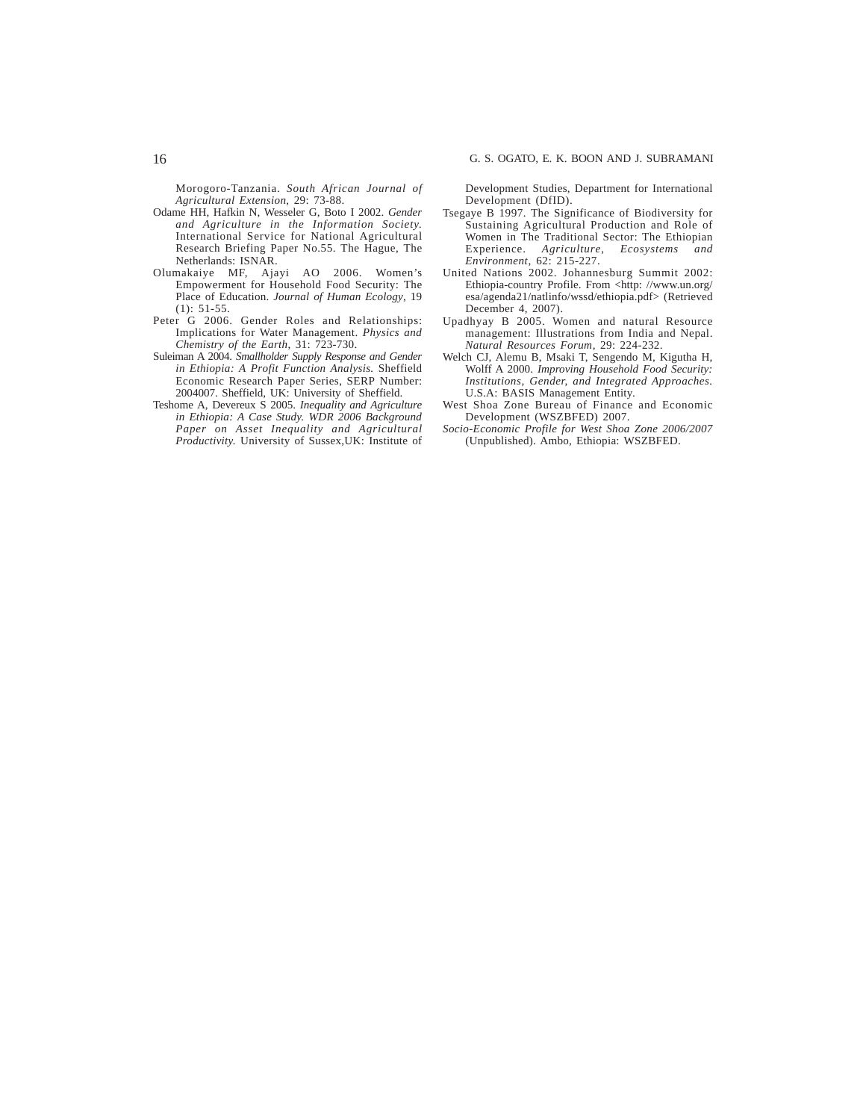Morogoro-Tanzania. *South African Journal of Agricultural Extension,* 29: 73-88.

- Odame HH, Hafkin N, Wesseler G, Boto I 2002. *Gender and Agriculture in the Information Society.* International Service for National Agricultural Research Briefing Paper No.55. The Hague, The Netherlands: ISNAR.
- Olumakaiye MF, Ajayi AO 2006. Women's Empowerment for Household Food Security: The Place of Education. *Journal of Human Ecology*, 19 (1): 51-55.
- Peter G 2006. Gender Roles and Relationships: Implications for Water Management. *Physics and Chemistry of the Earth*, 31: 723-730.
- Suleiman A 2004. *Smallholder Supply Response and Gender in Ethiopia: A Profit Function Analysis.* Sheffield Economic Research Paper Series, SERP Number: 2004007. Sheffield, UK: University of Sheffield.
- Teshome A, Devereux S 2005. *Inequality and Agriculture in Ethiopia: A Case Study. WDR 2006 Background Paper on Asset Inequality and Agricultural Productivity.* University of Sussex,UK: Institute of

Development Studies, Department for International Development (DfID).

- Tsegaye B 1997. The Significance of Biodiversity for Sustaining Agricultural Production and Role of Women in The Traditional Sector: The Ethiopian Experience. *Agriculture, Ecosystems and Environment*, 62: 215-227.
- United Nations 2002. Johannesburg Summit 2002: Ethiopia-country Profile. From <http: //www.un.org/ esa/agenda21/natlinfo/wssd/ethiopia.pdf> (Retrieved December 4, 2007).
- Upadhyay B 2005. Women and natural Resource management: Illustrations from India and Nepal. *Natural Resources Forum*, 29: 224-232.
- Welch CJ, Alemu B, Msaki T, Sengendo M, Kigutha H, Wolff A 2000. *Improving Household Food Security: Institutions, Gender, and Integrated Approaches.* U.S.A: BASIS Management Entity.
- West Shoa Zone Bureau of Finance and Economic Development (WSZBFED) 2007.
- *Socio-Economic Profile for West Shoa Zone 2006/2007* (Unpublished). Ambo, Ethiopia: WSZBFED.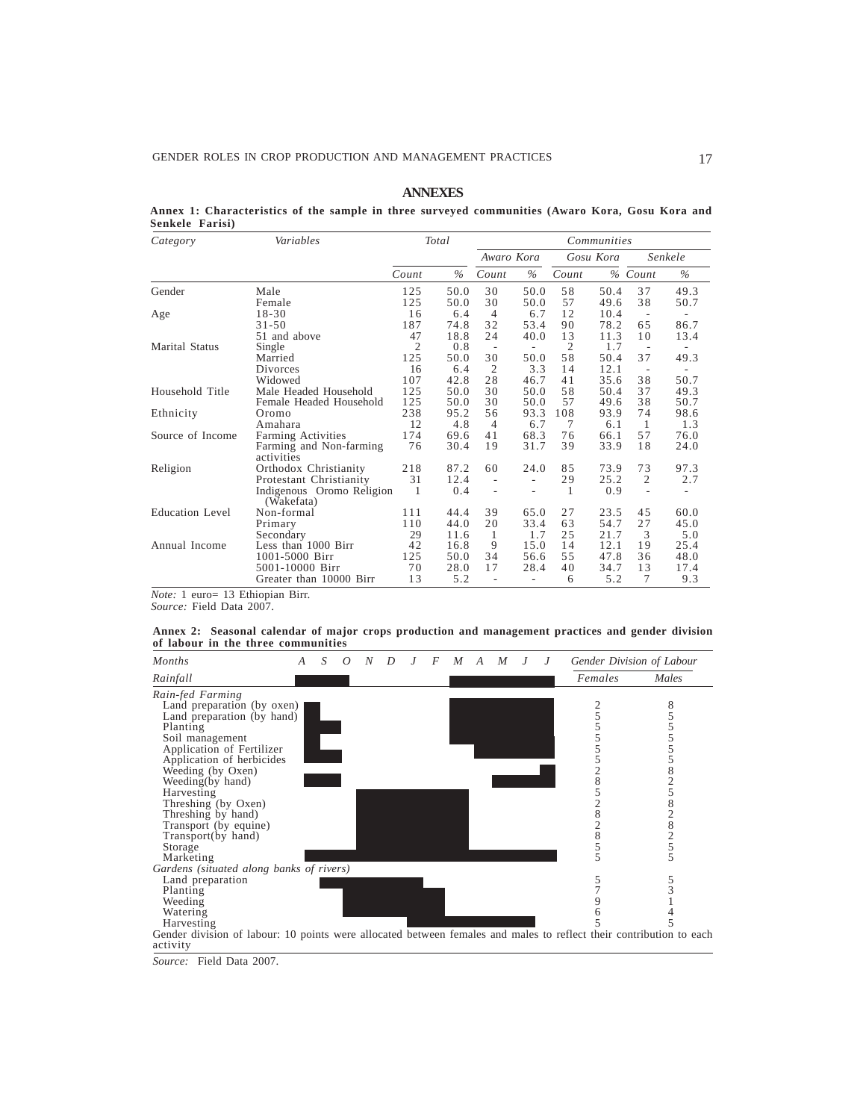| Category               | Variables                               |                | Total |                          |      |                | Communities |                          |         |
|------------------------|-----------------------------------------|----------------|-------|--------------------------|------|----------------|-------------|--------------------------|---------|
|                        |                                         |                |       | Awaro Kora               |      |                | Gosu Kora   |                          | Senkele |
|                        |                                         | Count          | $\%$  | Count                    | $\%$ | Count          |             | % Count                  | $\%$    |
| Gender                 | Male                                    | 125            | 50.0  | 30                       | 50.0 | 58             | 50.4        | 37                       | 49.3    |
|                        | Female                                  | 125            | 50.0  | 30                       | 50.0 | 57             | 49.6        | 38                       | 50.7    |
| Age                    | $18 - 30$                               | 16             | 6.4   | $\overline{4}$           | 6.7  | 12             | 10.4        | $\overline{\phantom{a}}$ |         |
|                        | $31 - 50$                               | 187            | 74.8  | 32                       | 53.4 | 90             | 78.2        | 65                       | 86.7    |
|                        | 51 and above                            | 47             | 18.8  | 24                       | 40.0 | 13             | 11.3        | 10                       | 13.4    |
| <b>Marital Status</b>  | Single                                  | $\overline{c}$ | 0.8   | $\overline{\phantom{a}}$ | ۰    | $\overline{2}$ | 1.7         | $\overline{\phantom{a}}$ |         |
|                        | Married                                 | 125            | 50.0  | 30                       | 50.0 | 58             | 50.4        | 37                       | 49.3    |
|                        | Divorces                                | 16             | 6.4   | $\overline{c}$           | 3.3  | 14             | 12.1        | $\overline{\phantom{a}}$ | ۰       |
|                        | Widowed                                 | 107            | 42.8  | 28                       | 46.7 | 41             | 35.6        | 38                       | 50.7    |
| Household Title        | Male Headed Household                   | 125            | 50.0  | 30                       | 50.0 | 58             | 50.4        | 37                       | 49.3    |
|                        | Female Headed Household                 | 125            | 50.0  | 30                       | 50.0 | 57             | 49.6        | 38                       | 50.7    |
| Ethnicity              | Oromo                                   | 238            | 95.2  | 56                       | 93.3 | 108            | 93.9        | 74                       | 98.6    |
|                        | Amahara                                 | 12             | 4.8   | $\overline{4}$           | 6.7  | 7              | 6.1         | 1                        | 1.3     |
| Source of Income       | Farming Activities                      | 174            | 69.6  | 41                       | 68.3 | 76             | 66.1        | 57                       | 76.0    |
|                        | Farming and Non-farming                 | 76             | 30.4  | 19                       | 31.7 | 39             | 33.9        | 18                       | 24.0    |
|                        | activities                              |                |       |                          |      |                |             |                          |         |
| Religion               | Orthodox Christianity                   | 218            | 87.2  | 60                       | 24.0 | 85             | 73.9        | 73                       | 97.3    |
|                        | Protestant Christianity                 | 31             | 12.4  | ٠                        | ٠    | 29             | 25.2        | 2                        | 2.7     |
|                        | Indigenous Oromo Religion<br>(Wakefata) | $\overline{1}$ | 0.4   |                          |      | 1              | 0.9         | $\overline{\phantom{a}}$ |         |
| <b>Education Level</b> | Non-formal                              | 111            | 44.4  | 39                       | 65.0 | 27             | 23.5        | 4.5                      | 60.0    |
|                        | Primary                                 | 110            | 44.0  | 20                       | 33.4 | 63             | 54.7        | 27                       | 45.0    |
|                        | Secondary                               | 29             | 11.6  | 1                        | 1.7  | 25             | 21.7        | 3                        | 5.0     |
| Annual Income          | Less than 1000 Birr                     | 42             | 16.8  | 9                        | 15.0 | 14             | 12.1        | 19                       | 25.4    |
|                        | 1001-5000 Birr                          | 125            | 50.0  | 34                       | 56.6 | 55             | 47.8        | 36                       | 48.0    |
|                        | 5001-10000 Birr                         | 70             | 28.0  | 17                       | 28.4 | 40             | 34.7        | 13                       | 17.4    |
|                        | Greater than 10000 Birr                 | 13             | 5.2   |                          | ٠    | 6              | 5.2         | 7                        | 9.3     |

**ANNEXES**

**Annex 1: Characteristics of the sample in three surveyed communities (Awaro Kora, Gosu Kora and Senkele Farisi)**

*Note:* 1 euro= 13 Ethiopian Birr.

*Source:* Field Data 2007.

| Annex 2: Seasonal calendar of major crops production and management practices and gender division<br>of labour in the three communities |  |  |  |
|-----------------------------------------------------------------------------------------------------------------------------------------|--|--|--|
|                                                                                                                                         |  |  |  |

| Months                                                                                                                          | A | N |  |  | M | A | M |  | Gender Division of Labour |               |
|---------------------------------------------------------------------------------------------------------------------------------|---|---|--|--|---|---|---|--|---------------------------|---------------|
| Rainfall                                                                                                                        |   |   |  |  |   |   |   |  | Females                   | Males         |
| Rain-fed Farming                                                                                                                |   |   |  |  |   |   |   |  |                           |               |
| Land preparation (by oxen)                                                                                                      |   |   |  |  |   |   |   |  |                           | 8             |
| Land preparation (by hand)                                                                                                      |   |   |  |  |   |   |   |  | 5                         | 5             |
| Planting                                                                                                                        |   |   |  |  |   |   |   |  |                           | 5             |
| Soil management                                                                                                                 |   |   |  |  |   |   |   |  | 5                         | 5             |
| Application of Fertilizer                                                                                                       |   |   |  |  |   |   |   |  | 5                         | 5             |
| Application of herbicides                                                                                                       |   |   |  |  |   |   |   |  |                           | 5             |
| Weeding (by Oxen)                                                                                                               |   |   |  |  |   |   |   |  | $\overline{2}$            | 8             |
| Weeding(by hand)                                                                                                                |   |   |  |  |   |   |   |  | 8                         | 2<br>5        |
| Harvesting                                                                                                                      |   |   |  |  |   |   |   |  | 5                         |               |
| Threshing (by Oxen)                                                                                                             |   |   |  |  |   |   |   |  | $\overline{c}$            | 8             |
| Threshing by hand)                                                                                                              |   |   |  |  |   |   |   |  | 8                         | $\frac{2}{8}$ |
| Transport (by equine)                                                                                                           |   |   |  |  |   |   |   |  | 2                         |               |
| Transport(by hand)                                                                                                              |   |   |  |  |   |   |   |  | 8                         | $\frac{2}{5}$ |
| Storage                                                                                                                         |   |   |  |  |   |   |   |  |                           |               |
| Marketing                                                                                                                       |   |   |  |  |   |   |   |  |                           | 5             |
| Gardens (situated along banks of rivers)                                                                                        |   |   |  |  |   |   |   |  |                           |               |
| Land preparation                                                                                                                |   |   |  |  |   |   |   |  |                           |               |
| Planting                                                                                                                        |   |   |  |  |   |   |   |  |                           |               |
| Weeding                                                                                                                         |   |   |  |  |   |   |   |  |                           |               |
| Watering                                                                                                                        |   |   |  |  |   |   |   |  |                           |               |
| Harvesting                                                                                                                      |   |   |  |  |   |   |   |  |                           |               |
| Gender division of labour: 10 points were allocated between females and males to reflect their contribution to each<br>activity |   |   |  |  |   |   |   |  |                           |               |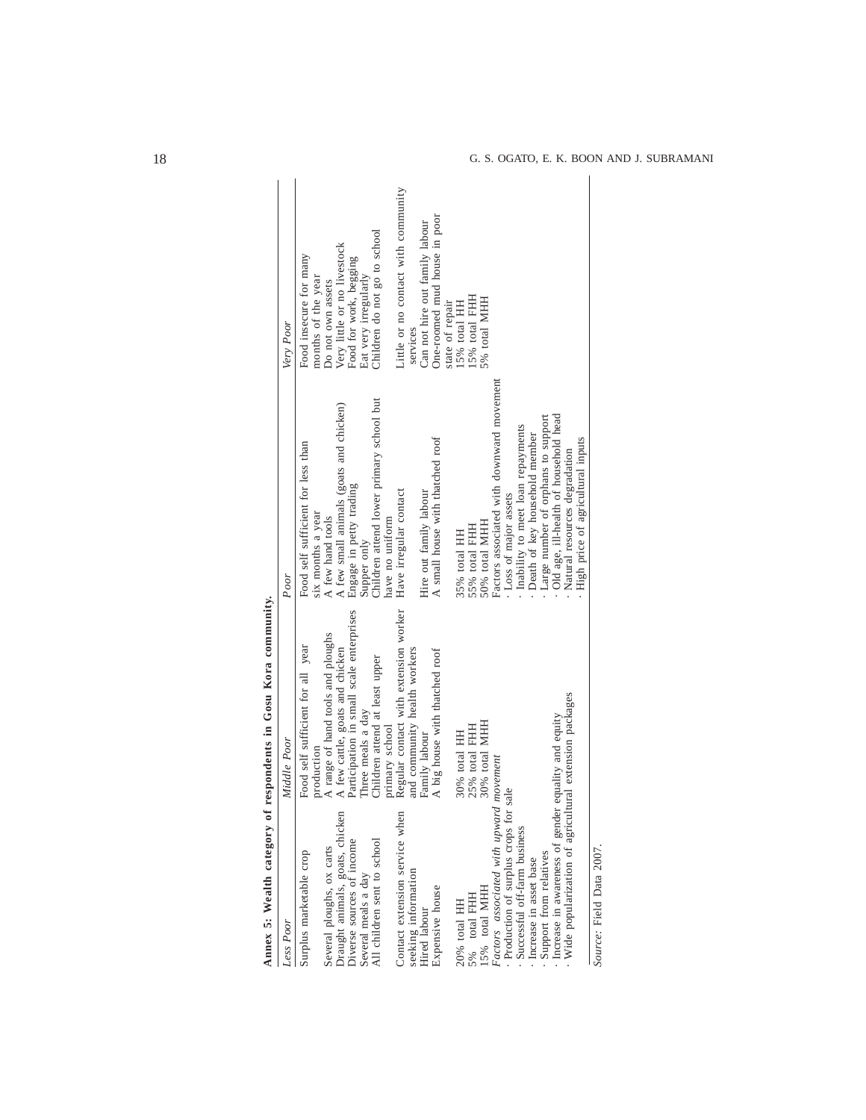| Annex 5: Wealth category of                                  | respondents in Gosu Kora community.                                         |                                                             |                                              |
|--------------------------------------------------------------|-----------------------------------------------------------------------------|-------------------------------------------------------------|----------------------------------------------|
| Less Poor                                                    | Middle Poor                                                                 | Poor                                                        | Very Poor                                    |
| Surplus marketable crop                                      | Food self sufficient for all year<br>production                             | Food self sufficient for less than<br>six months a year     | Food insecure for many<br>months of the year |
| Several ploughs, ox carts                                    | A range of hand tools and ploughs                                           | A few hand tools                                            | Do not own assets                            |
| Draught animals, goats, chicken<br>Diverse sources of income | A few cattle, goats and chicken<br>Participation in small scale enterprises | A few small animals (goats and chicken)                     | Very little or no livestock                  |
|                                                              |                                                                             | Engage in petty trading                                     | Food for work, begging                       |
| Several meals a day                                          | Three meals a day                                                           | Supper only                                                 | Eat very irregularly                         |
| All children sent to school                                  | Children attend at least upper<br>primary school                            | Children attend lower primary school but<br>have no uniform | Children do not go to school                 |
| Contact extension service when                               | Regular contact with extension worker                                       | Have irregular contact                                      | Little or no contact with community          |
|                                                              | and community health workers                                                |                                                             | services                                     |
| seeking information<br>Hired labour                          | Family labour                                                               | Hire out family labour                                      | Can not hire out family labour               |
| Expensive house                                              | A big house with thatched roof                                              | A small house with thatched roof                            | One-roomed mud house in poor                 |
|                                                              |                                                                             |                                                             | state of repair                              |
| 20% total HH                                                 | 30% total HH                                                                | 35% total HH                                                | 15% total HH                                 |
| total FHH<br>5%                                              | 25% total FHH                                                               | 55% total FHH                                               | 15% total FHH                                |
| 15% total MHH                                                | 30% total MHH                                                               | 50% total MHH                                               | 5% total MHH                                 |
| actors associated with upward                                | movement                                                                    | Factors associated with downward movement                   |                                              |
| Production of surplus crops for                              | sale                                                                        | Loss of major assets                                        |                                              |
| Successful off-farm business                                 |                                                                             | Inability to meet loan repayments                           |                                              |
| Increase in asset base                                       |                                                                             | Death of key household member                               |                                              |
|                                                              |                                                                             | Large number of orphans to support                          |                                              |
| Support from relatives<br>Increase in awareness of gender    | equality and equity                                                         | Old age, ill-health of household head                       |                                              |
| Wide popularization of agricultural extension packages       |                                                                             | Natural resources degradation                               |                                              |
|                                                              |                                                                             | High price of agricultural inputs                           |                                              |
| Source: Field Data 2007.                                     |                                                                             |                                                             |                                              |
|                                                              |                                                                             |                                                             |                                              |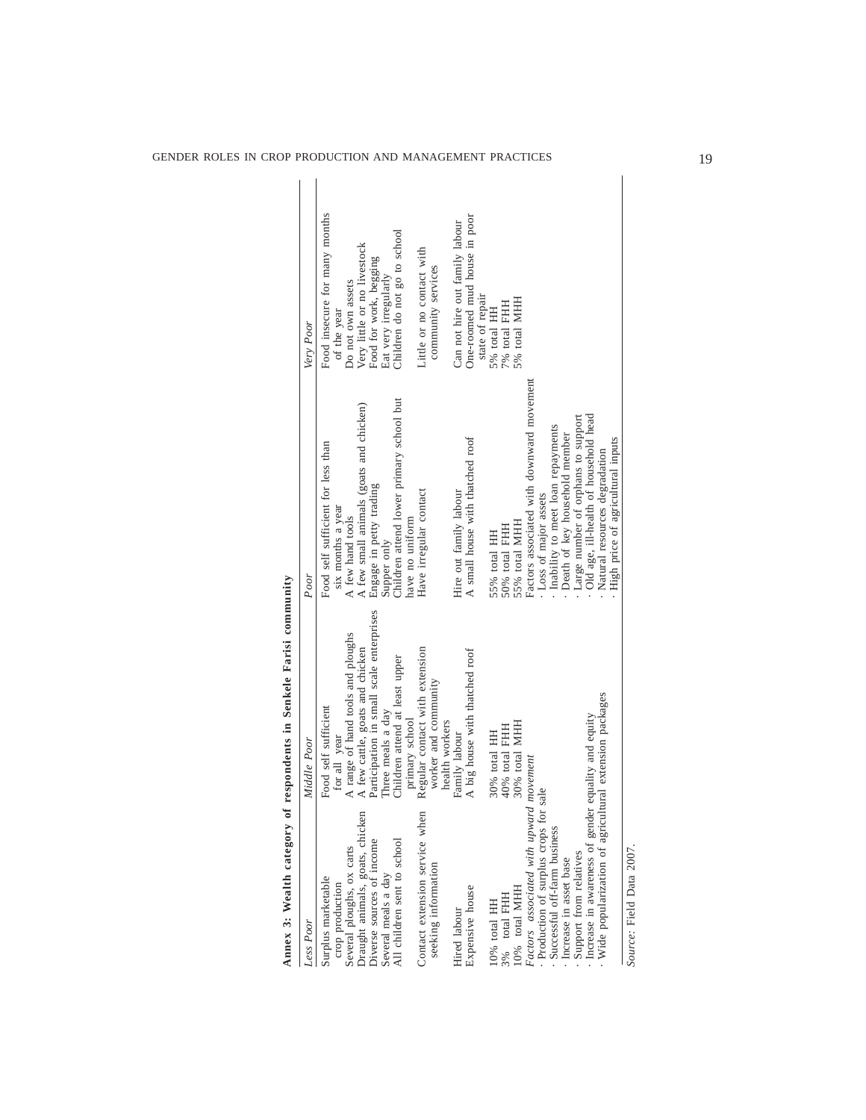| Less Poor                                              | Middle Poor                                                                 | $\it{Poor}$                                                        | Very Poor                                       |
|--------------------------------------------------------|-----------------------------------------------------------------------------|--------------------------------------------------------------------|-------------------------------------------------|
| Surplus marketable                                     | Food self sufficient                                                        | Food self sufficient for less than                                 | Food insecure for many months                   |
| crop production                                        | for all year                                                                | six months a year                                                  | of the year                                     |
| Several ploughs, ox carts                              | A range of hand tools and ploughs                                           | A few hand tools                                                   | Do not own assets                               |
| Draught animals, goats, chicken                        |                                                                             | A few small animals (goats and chicken)                            | Very little or no livestock                     |
| Diverse sources of income                              | A few cattle, goats and chicken<br>Participation in small scale enterprises | Engage in petty trading                                            | Food for work, begging                          |
| Several meals a day                                    | Three meals a day                                                           | Supper only                                                        | Eat very irregularly                            |
| All children sent to school                            | Children attend at least upper<br>primary school                            | Children attend lower primary school but<br>have no uniform        | Children do not go to school                    |
| Contact extension service when                         | Regular contact with extension                                              | Have irregular contact                                             | Little or no contact with                       |
| seeking information                                    | worker and community<br>health workers                                      |                                                                    | community services                              |
| Hired labour                                           | Family labour                                                               | Hire out family labour                                             | Can not hire out family labour                  |
| Expensive house                                        | A big house with thatched roof                                              | A small house with thatched roof                                   | One-roomed mud house in poor<br>state of repair |
|                                                        | 30% total HH                                                                | 55% total HH                                                       | 5% total HH                                     |
| $10\%$ total HH $3\%$ total FHH                        | 40% total FHH                                                               | 50% total FHH                                                      | 7% total FHH                                    |
| 10% total MHH                                          | 30% total MHH                                                               | 55% total MHH                                                      | 5% total MHH                                    |
| Factors associated with upward movement                |                                                                             | Factors associated with downward movement                          |                                                 |
| Production of surplus crops for                        | sale                                                                        | Loss of major assets                                               |                                                 |
| Successful off-farm business                           |                                                                             | Inability to meet loan repayments                                  |                                                 |
| Increase in asset base                                 |                                                                             | Death of key household member                                      |                                                 |
| Support from relatives                                 |                                                                             | Large number of orphans to support                                 |                                                 |
| Increase in awareness of gender equality and equity    |                                                                             | Old age, ill-health of household head                              |                                                 |
| Wide popularization of agricultural extension packages |                                                                             | High price of agricultural inputs<br>Natural resources degradation |                                                 |